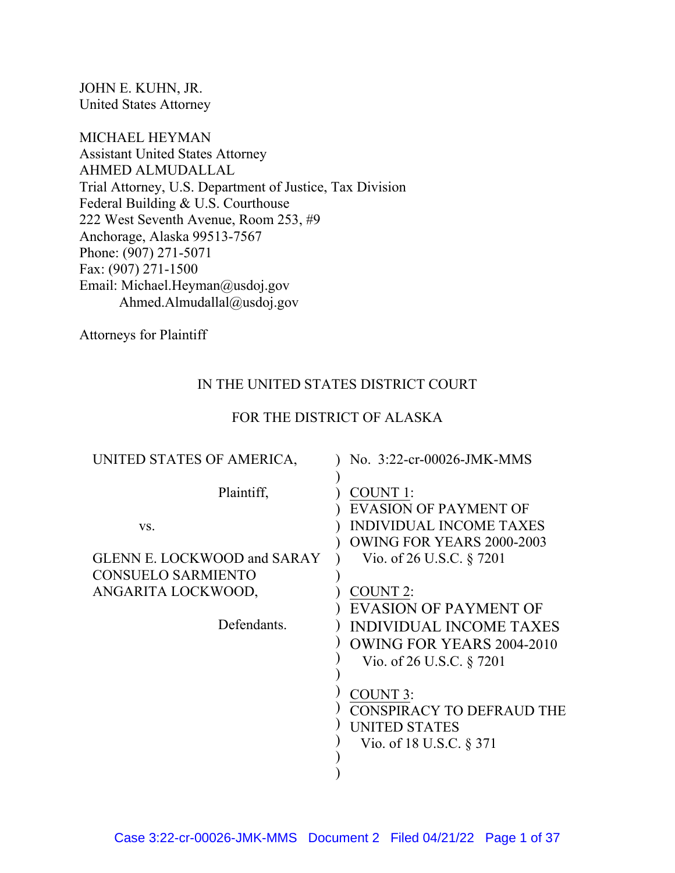JOHN E. KUHN, JR. United States Attorney

MICHAEL HEYMAN Assistant United States Attorney AHMED ALMUDALLAL Trial Attorney, U.S. Department of Justice, Tax Division Federal Building & U.S. Courthouse 222 West Seventh Avenue, Room 253, #9 Anchorage, Alaska 99513-7567 Phone: (907) 271-5071 Fax: (907) 271-1500 Email: Michael.Heyman@usdoj.gov Ahmed.Almudallal@usdoj.gov

Attorneys for Plaintiff

# IN THE UNITED STATES DISTRICT COURT

## FOR THE DISTRICT OF ALASKA

| UNITED STATES OF AMERICA,                                                                                                 | No. 3:22-cr-00026-JMK-MMS                                                                                                                                                                                                                                                         |
|---------------------------------------------------------------------------------------------------------------------------|-----------------------------------------------------------------------------------------------------------------------------------------------------------------------------------------------------------------------------------------------------------------------------------|
| Plaintiff,<br>VS.<br><b>GLENN E. LOCKWOOD and SARAY</b><br><b>CONSUELO SARMIENTO</b><br>ANGARITA LOCKWOOD,<br>Defendants. | COUNT 1:<br><b>EVASION OF PAYMENT OF</b><br><b>INDIVIDUAL INCOME TAXES</b><br><b>OWING FOR YEARS 2000-2003</b><br>Vio. of 26 U.S.C. § 7201<br>COUNT 2:<br><b>EVASION OF PAYMENT OF</b><br><b>INDIVIDUAL INCOME TAXES</b><br>OWING FOR YEARS 2004-2010<br>Vio. of 26 U.S.C. § 7201 |
|                                                                                                                           | <b>COUNT 3:</b><br>CONSPIRACY TO DEFRAUD THE<br>UNITED STATES<br>Vio. of 18 U.S.C. § 371                                                                                                                                                                                          |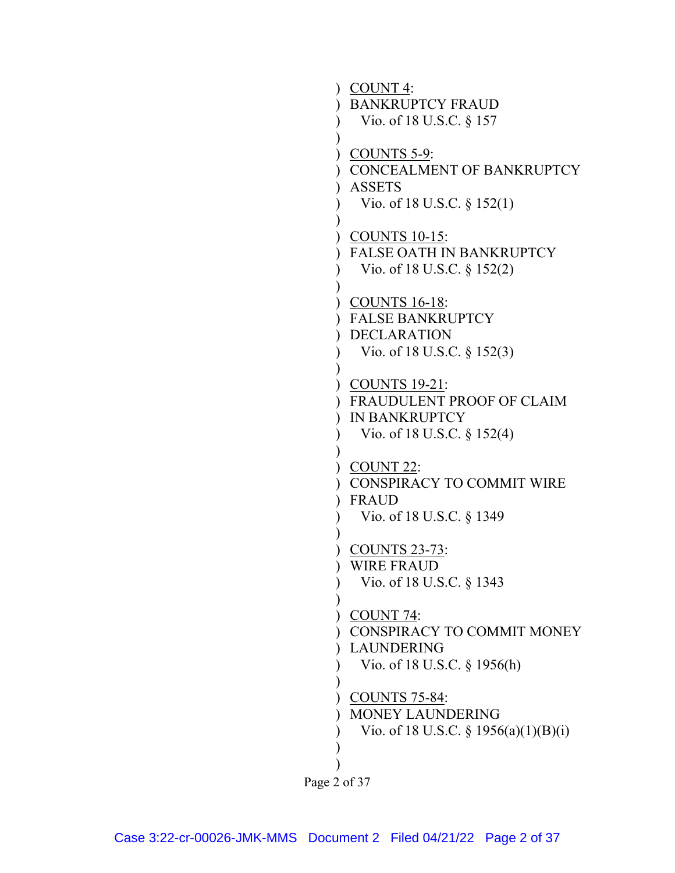```
Page 2 of 37
      ) 
COUNT 4: 
      )
BANKRUPTCY FRAUD 
     \mathcal{L}\overline{)})
COUNTS 5-9: 
      )
CONCEALMENT OF BANKRUPTCY 
      )
ASSETS 
     \mathcal{L})
      )
COUNTS 10-15: 
      )
FALSE OATH IN BANKRUPTCY 
      \overline{)})
      )
COUNTS 16-18: 
      )
FALSE BANKRUPTCY 
      )
DECLARATION 
      \mathcal{L}\overline{)}) 
COUNTS 19-21: 
      ) 
FRAUDULENT PROOF OF CLAIM 
      ) 
IN BANKRUPTCY 
     \lambda\mathcal{L}) 
COUNT 22: 
      ) 
CONSPIRACY TO COMMIT WIRE 
      ) 
FRAUD 
      \overline{)}\overline{)}) 
COUNTS 23-73: 
      ) 
WIRE FRAUD 
     \mathcal{L}\mathcal{L}) 
COUNT 74: 
      )
CONSPIRACY TO COMMIT MONEY 
      )
LAUNDERING 
     \mathcal{L})
      )
COUNTS 75-84: 
      ) 
MONEY LAUNDERING 
      \mathcal{L}\overline{)}\overline{)} Vio. of 18 U.S.C. § 157 
           Vio. of 18 U.S.C. § 152(1) 
           Vio. of 18 U.S.C. § 152(2) 
           Vio. of 18 U.S.C. § 152(3) 
           Vio. of 18 U.S.C. § 152(4) 
           Vio. of 18 U.S.C. § 1349 
           Vio. of 18 U.S.C. § 1343 
           Vio. of 18 U.S.C. § 1956(h) 
           Vio. of 18 U.S.C. § 1956(a)(1)(B)(i)
```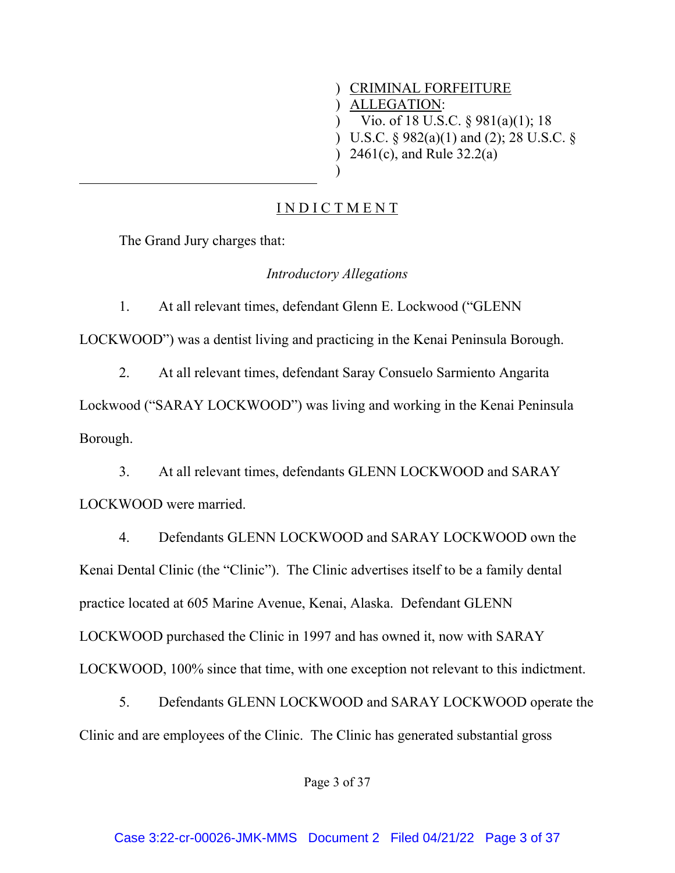) CRIMINAL FORFEITURE ) ALLEGATION:

Vio. of 18 U.S.C. § 981(a)(1); 18

) U.S.C. § 982(a)(1) and (2); 28 U.S.C. §

) 2461(c), and Rule 32.2(a)

I N D I C T M E N T

)

 $\mathcal{L}$ 

The Grand Jury charges that:

l,

*Introductory Allegations* 

1. At all relevant times, defendant Glenn E. Lockwood ("GLENN

LOCKWOOD") was a dentist living and practicing in the Kenai Peninsula Borough.

2. At all relevant times, defendant Saray Consuelo Sarmiento Angarita

Lockwood ("SARAY LOCKWOOD") was living and working in the Kenai Peninsula Borough.

3. At all relevant times, defendants GLENN LOCKWOOD and SARAY LOCKWOOD were married.

4. Defendants GLENN LOCKWOOD and SARAY LOCKWOOD own the Kenai Dental Clinic (the "Clinic"). The Clinic advertises itself to be a family dental practice located at 605 Marine Avenue, Kenai, Alaska. Defendant GLENN LOCKWOOD purchased the Clinic in 1997 and has owned it, now with SARAY LOCKWOOD, 100% since that time, with one exception not relevant to this indictment.

5. Defendants GLENN LOCKWOOD and SARAY LOCKWOOD operate the Clinic and are employees of the Clinic. The Clinic has generated substantial gross

Page 3 of 37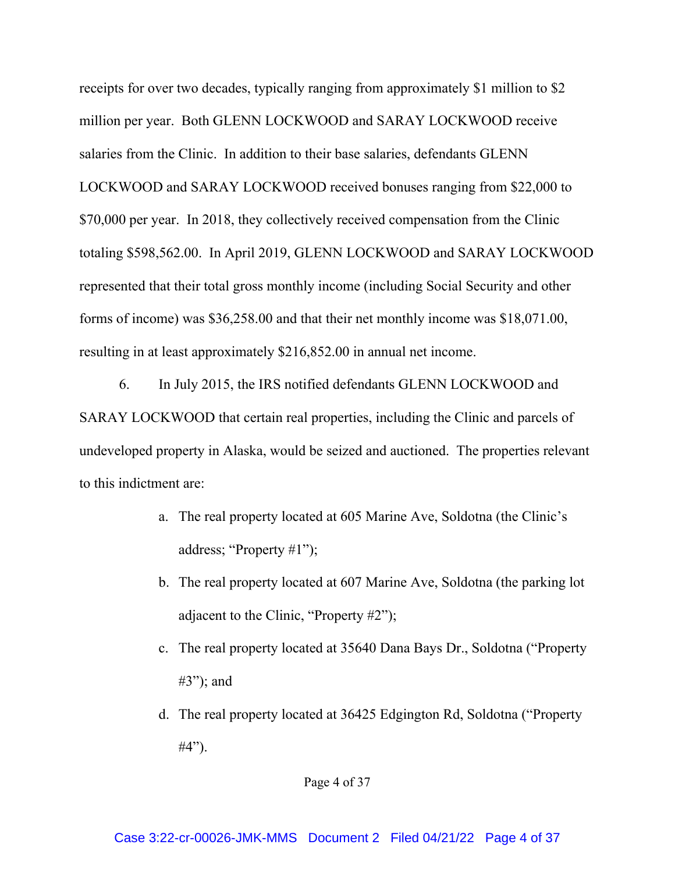receipts for over two decades, typically ranging from approximately \$1 million to \$2 million per year. Both GLENN LOCKWOOD and SARAY LOCKWOOD receive salaries from the Clinic. In addition to their base salaries, defendants GLENN LOCKWOOD and SARAY LOCKWOOD received bonuses ranging from \$22,000 to \$70,000 per year. In 2018, they collectively received compensation from the Clinic totaling \$598,562.00. In April 2019, GLENN LOCKWOOD and SARAY LOCKWOOD represented that their total gross monthly income (including Social Security and other forms of income) was \$36,258.00 and that their net monthly income was \$18,071.00, resulting in at least approximately \$216,852.00 in annual net income.

6. In July 2015, the IRS notified defendants GLENN LOCKWOOD and SARAY LOCKWOOD that certain real properties, including the Clinic and parcels of undeveloped property in Alaska, would be seized and auctioned. The properties relevant to this indictment are:

- a. The real property located at 605 Marine Ave, Soldotna (the Clinic's address; "Property #1");
- b. The real property located at 607 Marine Ave, Soldotna (the parking lot adjacent to the Clinic, "Property #2");
- c. The real property located at 35640 Dana Bays Dr., Soldotna ("Property #3"); and
- d. The real property located at 36425 Edgington Rd, Soldotna ("Property #4").

Page 4 of 37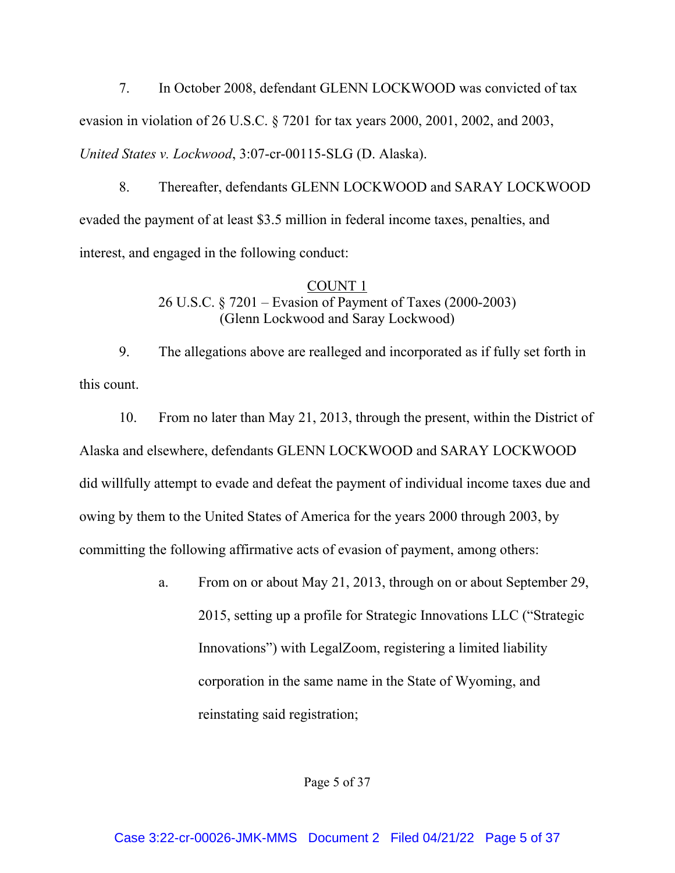7. In October 2008, defendant GLENN LOCKWOOD was convicted of tax evasion in violation of 26 U.S.C. § 7201 for tax years 2000, 2001, 2002, and 2003, *United States v. Lockwood*, 3:07-cr-00115-SLG (D. Alaska).

8. Thereafter, defendants GLENN LOCKWOOD and SARAY LOCKWOOD evaded the payment of at least \$3.5 million in federal income taxes, penalties, and interest, and engaged in the following conduct:

# COUNT 1 26 U.S.C. § 7201 – Evasion of Payment of Taxes (2000-2003) (Glenn Lockwood and Saray Lockwood)

9. The allegations above are realleged and incorporated as if fully set forth in this count.

10. From no later than May 21, 2013, through the present, within the District of Alaska and elsewhere, defendants GLENN LOCKWOOD and SARAY LOCKWOOD did willfully attempt to evade and defeat the payment of individual income taxes due and owing by them to the United States of America for the years 2000 through 2003, by committing the following affirmative acts of evasion of payment, among others:

> a. From on or about May 21, 2013, through on or about September 29, 2015, setting up a profile for Strategic Innovations LLC ("Strategic Innovations") with LegalZoom, registering a limited liability corporation in the same name in the State of Wyoming, and reinstating said registration;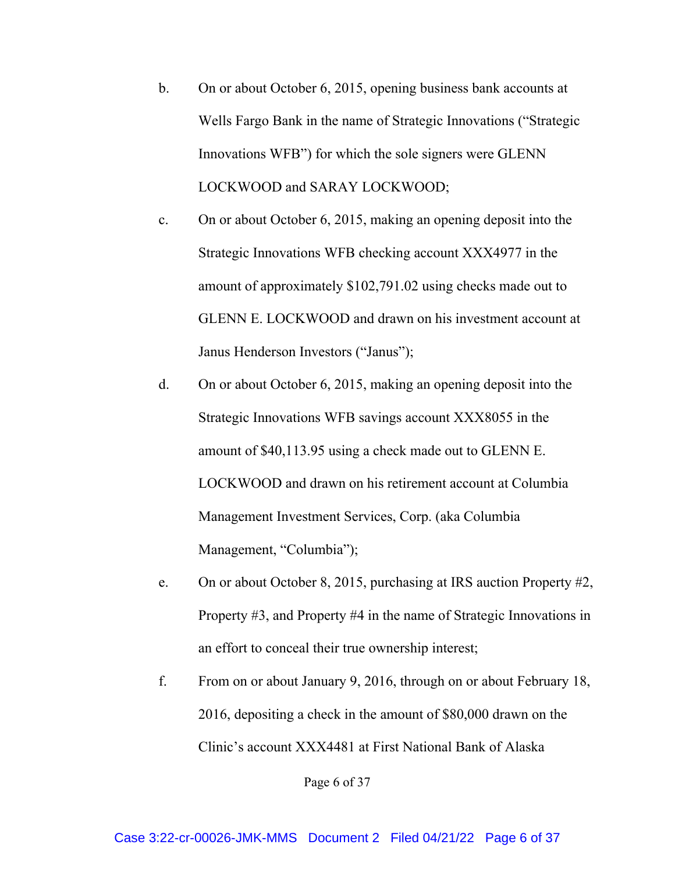- b. On or about October 6, 2015, opening business bank accounts at Wells Fargo Bank in the name of Strategic Innovations ("Strategic Innovations WFB") for which the sole signers were GLENN LOCKWOOD and SARAY LOCKWOOD;
- c. On or about October 6, 2015, making an opening deposit into the Strategic Innovations WFB checking account XXX4977 in the amount of approximately \$102,791.02 using checks made out to GLENN E. LOCKWOOD and drawn on his investment account at Janus Henderson Investors ("Janus");
- d. On or about October 6, 2015, making an opening deposit into the Strategic Innovations WFB savings account XXX8055 in the amount of \$40,113.95 using a check made out to GLENN E. LOCKWOOD and drawn on his retirement account at Columbia Management Investment Services, Corp. (aka Columbia Management, "Columbia");
- e. On or about October 8, 2015, purchasing at IRS auction Property #2, Property #3, and Property #4 in the name of Strategic Innovations in an effort to conceal their true ownership interest;
- f. From on or about January 9, 2016, through on or about February 18, 2016, depositing a check in the amount of \$80,000 drawn on the Clinic's account XXX4481 at First National Bank of Alaska

Page 6 of 37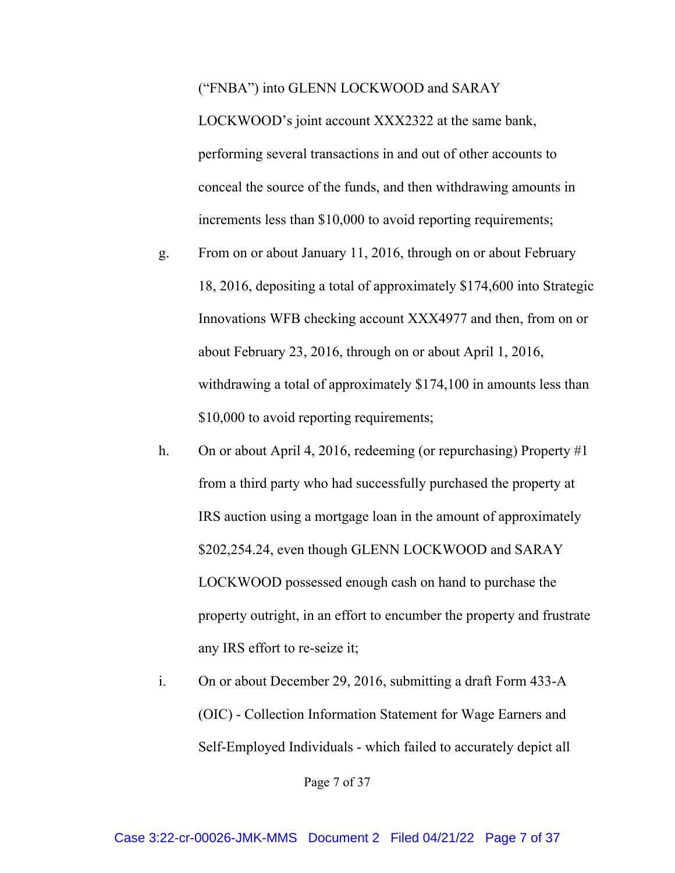("FNBA") into GLENN LOCKWOOD and SARAY

LOCKWOOD's joint account XXX2322 at the same bank, performing several transactions in and out of other accounts to conceal the source of the funds, and then withdrawing amounts in increments less than \$10,000 to avoid reporting requirements;

- g. From on or about January 11, 2016, through on or about February 18, 2016, depositing a total of approximately \$174,600 into Strategic Innovations WFB checking account XXX4977 and then, from on or about February 23, 2016, through on or about April 1, 2016, withdrawing a total of approximately \$174,100 in amounts less than \$10,000 to avoid reporting requirements;
- h. On or about April 4, 2016, redeeming (or repurchasing) Property #1 from a third party who had successfully purchased the property at IRS auction using a mortgage loan in the amount of approximately \$202,254.24, even though GLENN LOCKWOOD and SARAY LOCKWOOD possessed enough cash on hand to purchase the property outright, in an effort to encumber the property and frustrate any IRS effort to re-seize it;
- i. On or about December 29, 2016, submitting a draft Form 433-A (OIC) - Collection Information Statement for Wage Earners and Self-Employed Individuals - which failed to accurately depict all

Page 7 of 37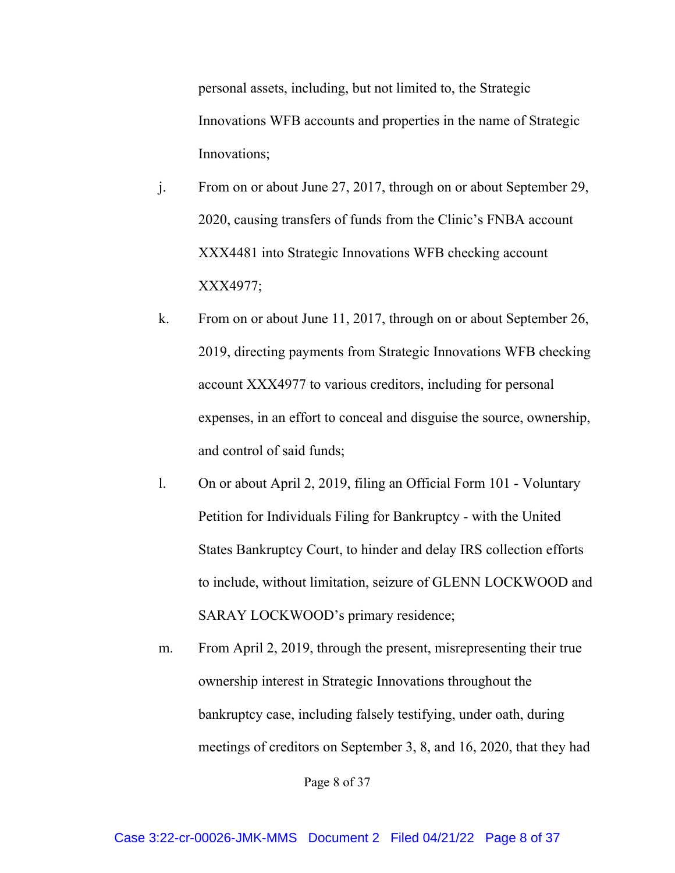personal assets, including, but not limited to, the Strategic Innovations WFB accounts and properties in the name of Strategic Innovations;

- j. From on or about June 27, 2017, through on or about September 29, 2020, causing transfers of funds from the Clinic's FNBA account XXX4481 into Strategic Innovations WFB checking account XXX4977;
- k. From on or about June 11, 2017, through on or about September 26, 2019, directing payments from Strategic Innovations WFB checking account XXX4977 to various creditors, including for personal expenses, in an effort to conceal and disguise the source, ownership, and control of said funds;
- l. On or about April 2, 2019, filing an Official Form 101 Voluntary Petition for Individuals Filing for Bankruptcy - with the United States Bankruptcy Court, to hinder and delay IRS collection efforts to include, without limitation, seizure of GLENN LOCKWOOD and SARAY LOCKWOOD's primary residence;
- m. From April 2, 2019, through the present, misrepresenting their true ownership interest in Strategic Innovations throughout the bankruptcy case, including falsely testifying, under oath, during meetings of creditors on September 3, 8, and 16, 2020, that they had

Page 8 of 37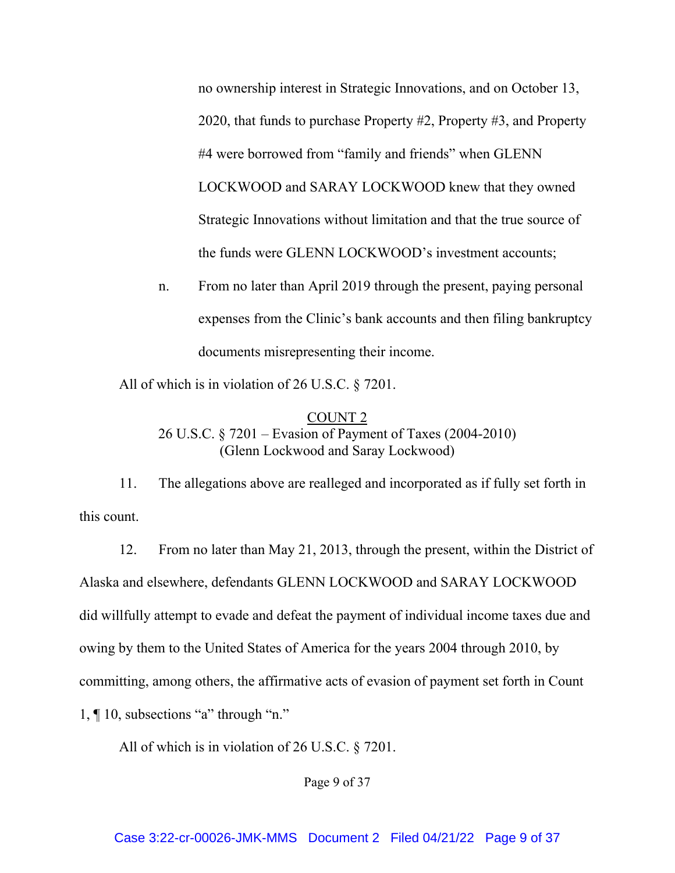no ownership interest in Strategic Innovations, and on October 13, 2020, that funds to purchase Property #2, Property #3, and Property #4 were borrowed from "family and friends" when GLENN LOCKWOOD and SARAY LOCKWOOD knew that they owned Strategic Innovations without limitation and that the true source of the funds were GLENN LOCKWOOD's investment accounts;

n. From no later than April 2019 through the present, paying personal expenses from the Clinic's bank accounts and then filing bankruptcy documents misrepresenting their income.

All of which is in violation of 26 U.S.C. § 7201.

COUNT 2 26 U.S.C. § 7201 – Evasion of Payment of Taxes (2004-2010) (Glenn Lockwood and Saray Lockwood)

11. The allegations above are realleged and incorporated as if fully set forth in this count.

12. From no later than May 21, 2013, through the present, within the District of Alaska and elsewhere, defendants GLENN LOCKWOOD and SARAY LOCKWOOD did willfully attempt to evade and defeat the payment of individual income taxes due and owing by them to the United States of America for the years 2004 through 2010, by committing, among others, the affirmative acts of evasion of payment set forth in Count 1, ¶ 10, subsections "a" through "n."

All of which is in violation of 26 U.S.C. § 7201.

Page 9 of 37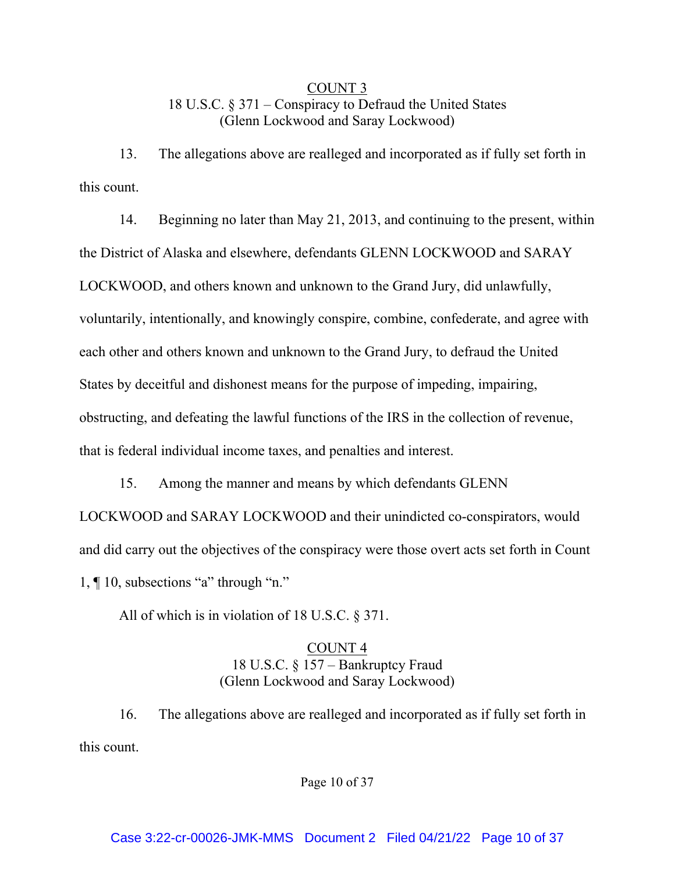# COUNT 3 18 U.S.C. § 371 – Conspiracy to Defraud the United States (Glenn Lockwood and Saray Lockwood)

13. The allegations above are realleged and incorporated as if fully set forth in this count.

14. Beginning no later than May 21, 2013, and continuing to the present, within the District of Alaska and elsewhere, defendants GLENN LOCKWOOD and SARAY LOCKWOOD, and others known and unknown to the Grand Jury, did unlawfully, voluntarily, intentionally, and knowingly conspire, combine, confederate, and agree with each other and others known and unknown to the Grand Jury, to defraud the United States by deceitful and dishonest means for the purpose of impeding, impairing, obstructing, and defeating the lawful functions of the IRS in the collection of revenue, that is federal individual income taxes, and penalties and interest.

15. Among the manner and means by which defendants GLENN LOCKWOOD and SARAY LOCKWOOD and their unindicted co-conspirators, would and did carry out the objectives of the conspiracy were those overt acts set forth in Count 1, ¶ 10, subsections "a" through "n."

All of which is in violation of 18 U.S.C. § 371.

### COUNT 4 18 U.S.C. § 157 – Bankruptcy Fraud (Glenn Lockwood and Saray Lockwood)

16. The allegations above are realleged and incorporated as if fully set forth in this count.

Page 10 of 37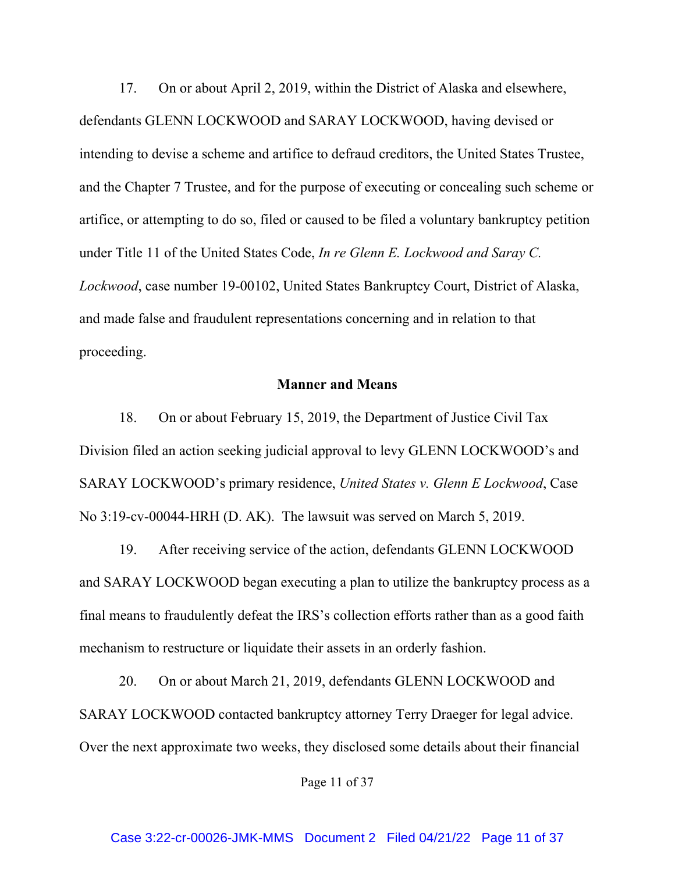17. On or about April 2, 2019, within the District of Alaska and elsewhere, defendants GLENN LOCKWOOD and SARAY LOCKWOOD, having devised or intending to devise a scheme and artifice to defraud creditors, the United States Trustee, and the Chapter 7 Trustee, and for the purpose of executing or concealing such scheme or artifice, or attempting to do so, filed or caused to be filed a voluntary bankruptcy petition under Title 11 of the United States Code, *In re Glenn E. Lockwood and Saray C. Lockwood*, case number 19-00102, United States Bankruptcy Court, District of Alaska, and made false and fraudulent representations concerning and in relation to that proceeding.

### **Manner and Means**

18. On or about February 15, 2019, the Department of Justice Civil Tax Division filed an action seeking judicial approval to levy GLENN LOCKWOOD's and SARAY LOCKWOOD's primary residence, *United States v. Glenn E Lockwood*, Case No 3:19-cv-00044-HRH (D. AK). The lawsuit was served on March 5, 2019.

19. After receiving service of the action, defendants GLENN LOCKWOOD and SARAY LOCKWOOD began executing a plan to utilize the bankruptcy process as a final means to fraudulently defeat the IRS's collection efforts rather than as a good faith mechanism to restructure or liquidate their assets in an orderly fashion.

20. On or about March 21, 2019, defendants GLENN LOCKWOOD and SARAY LOCKWOOD contacted bankruptcy attorney Terry Draeger for legal advice. Over the next approximate two weeks, they disclosed some details about their financial

Page 11 of 37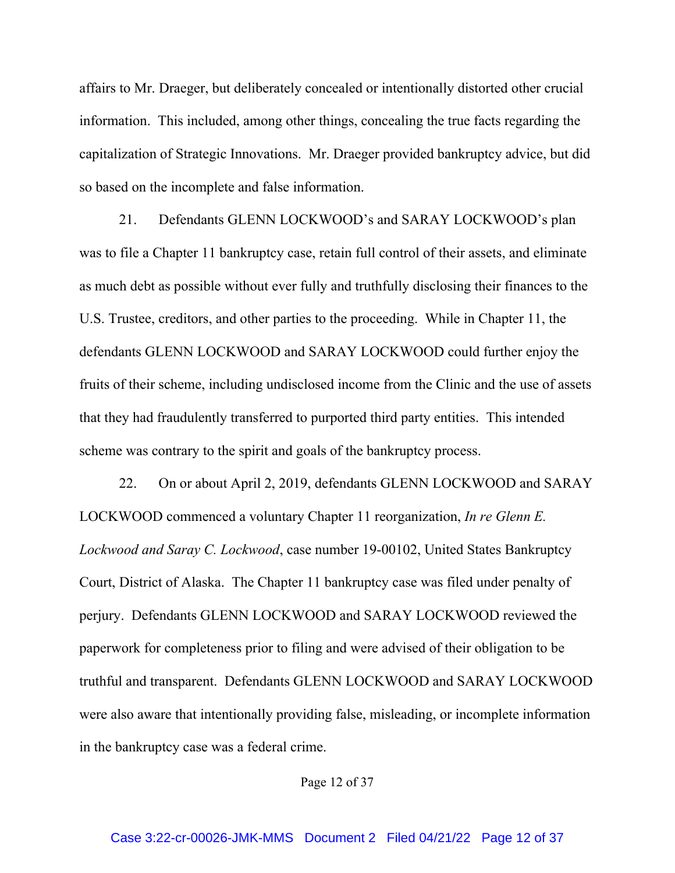affairs to Mr. Draeger, but deliberately concealed or intentionally distorted other crucial information. This included, among other things, concealing the true facts regarding the capitalization of Strategic Innovations. Mr. Draeger provided bankruptcy advice, but did so based on the incomplete and false information.

21. Defendants GLENN LOCKWOOD's and SARAY LOCKWOOD's plan was to file a Chapter 11 bankruptcy case, retain full control of their assets, and eliminate as much debt as possible without ever fully and truthfully disclosing their finances to the U.S. Trustee, creditors, and other parties to the proceeding. While in Chapter 11, the defendants GLENN LOCKWOOD and SARAY LOCKWOOD could further enjoy the fruits of their scheme, including undisclosed income from the Clinic and the use of assets that they had fraudulently transferred to purported third party entities. This intended scheme was contrary to the spirit and goals of the bankruptcy process.

22. On or about April 2, 2019, defendants GLENN LOCKWOOD and SARAY LOCKWOOD commenced a voluntary Chapter 11 reorganization, *In re Glenn E. Lockwood and Saray C. Lockwood*, case number 19-00102, United States Bankruptcy Court, District of Alaska. The Chapter 11 bankruptcy case was filed under penalty of perjury. Defendants GLENN LOCKWOOD and SARAY LOCKWOOD reviewed the paperwork for completeness prior to filing and were advised of their obligation to be truthful and transparent. Defendants GLENN LOCKWOOD and SARAY LOCKWOOD were also aware that intentionally providing false, misleading, or incomplete information in the bankruptcy case was a federal crime.

Page 12 of 37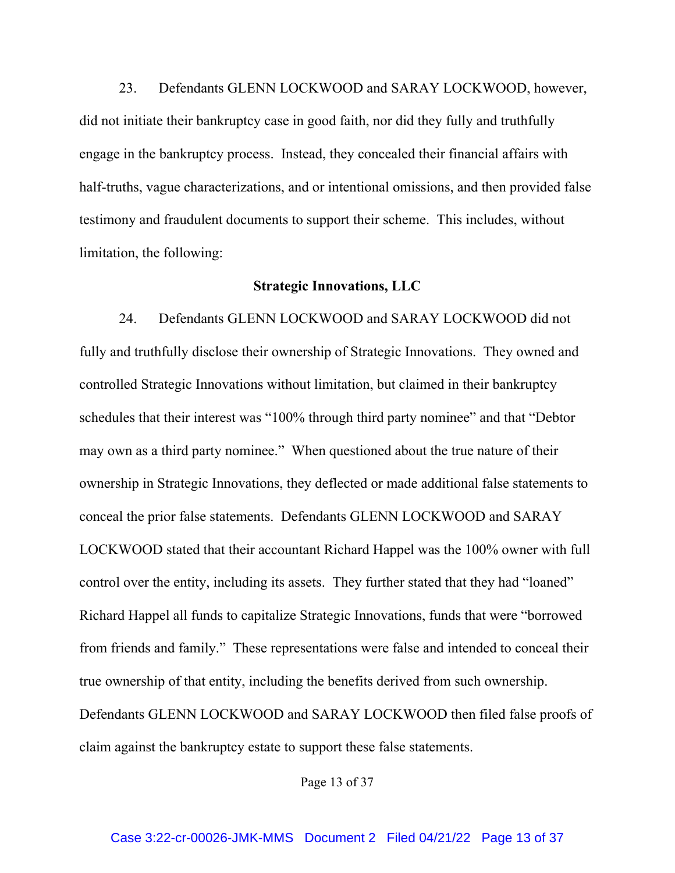23. Defendants GLENN LOCKWOOD and SARAY LOCKWOOD, however, did not initiate their bankruptcy case in good faith, nor did they fully and truthfully engage in the bankruptcy process. Instead, they concealed their financial affairs with half-truths, vague characterizations, and or intentional omissions, and then provided false testimony and fraudulent documents to support their scheme. This includes, without limitation, the following:

### **Strategic Innovations, LLC**

24. Defendants GLENN LOCKWOOD and SARAY LOCKWOOD did not fully and truthfully disclose their ownership of Strategic Innovations. They owned and controlled Strategic Innovations without limitation, but claimed in their bankruptcy schedules that their interest was "100% through third party nominee" and that "Debtor may own as a third party nominee." When questioned about the true nature of their ownership in Strategic Innovations, they deflected or made additional false statements to conceal the prior false statements. Defendants GLENN LOCKWOOD and SARAY LOCKWOOD stated that their accountant Richard Happel was the 100% owner with full control over the entity, including its assets. They further stated that they had "loaned" Richard Happel all funds to capitalize Strategic Innovations, funds that were "borrowed from friends and family." These representations were false and intended to conceal their true ownership of that entity, including the benefits derived from such ownership. Defendants GLENN LOCKWOOD and SARAY LOCKWOOD then filed false proofs of claim against the bankruptcy estate to support these false statements.

Page 13 of 37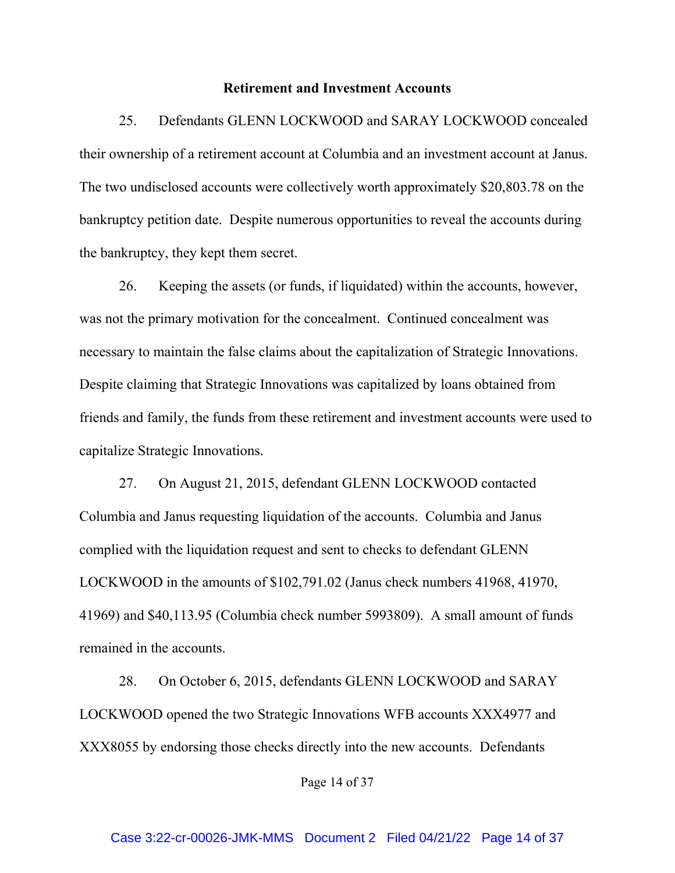### **Retirement and Investment Accounts**

25. Defendants GLENN LOCKWOOD and SARAY LOCKWOOD concealed their ownership of a retirement account at Columbia and an investment account at Janus. The two undisclosed accounts were collectively worth approximately \$20,803.78 on the bankruptcy petition date. Despite numerous opportunities to reveal the accounts during the bankruptcy, they kept them secret.

26. Keeping the assets (or funds, if liquidated) within the accounts, however, was not the primary motivation for the concealment. Continued concealment was necessary to maintain the false claims about the capitalization of Strategic Innovations. Despite claiming that Strategic Innovations was capitalized by loans obtained from friends and family, the funds from these retirement and investment accounts were used to capitalize Strategic Innovations.

27. On August 21, 2015, defendant GLENN LOCKWOOD contacted Columbia and Janus requesting liquidation of the accounts. Columbia and Janus complied with the liquidation request and sent to checks to defendant GLENN LOCKWOOD in the amounts of \$102,791.02 (Janus check numbers 41968, 41970, 41969) and \$40,113.95 (Columbia check number 5993809). A small amount of funds remained in the accounts.

28. On October 6, 2015, defendants GLENN LOCKWOOD and SARAY LOCKWOOD opened the two Strategic Innovations WFB accounts XXX4977 and XXX8055 by endorsing those checks directly into the new accounts. Defendants

Page 14 of 37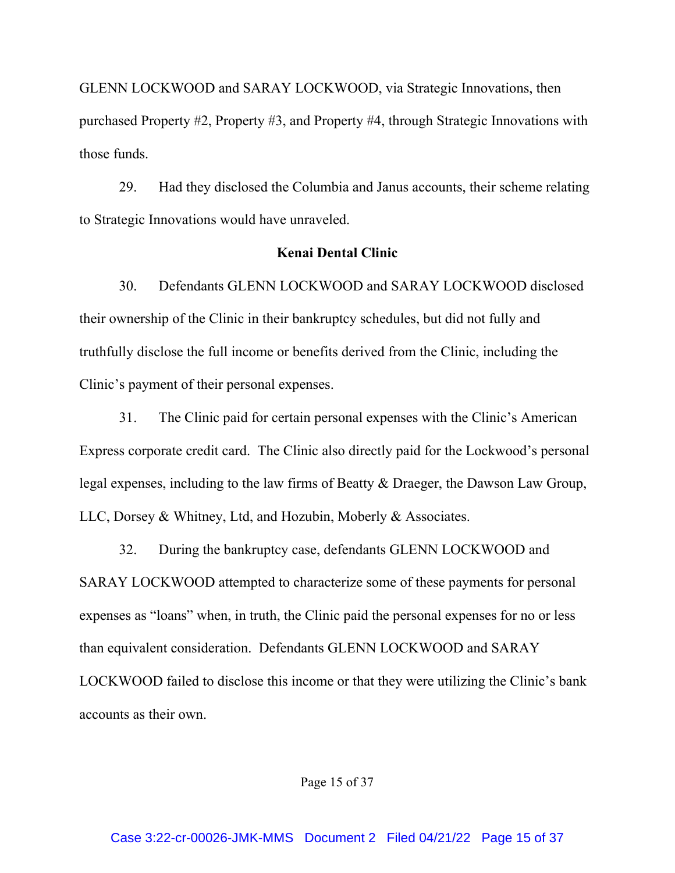GLENN LOCKWOOD and SARAY LOCKWOOD, via Strategic Innovations, then purchased Property #2, Property #3, and Property #4, through Strategic Innovations with those funds.

29. Had they disclosed the Columbia and Janus accounts, their scheme relating to Strategic Innovations would have unraveled.

### **Kenai Dental Clinic**

30. Defendants GLENN LOCKWOOD and SARAY LOCKWOOD disclosed their ownership of the Clinic in their bankruptcy schedules, but did not fully and truthfully disclose the full income or benefits derived from the Clinic, including the Clinic's payment of their personal expenses.

31. The Clinic paid for certain personal expenses with the Clinic's American Express corporate credit card. The Clinic also directly paid for the Lockwood's personal legal expenses, including to the law firms of Beatty & Draeger, the Dawson Law Group, LLC, Dorsey & Whitney, Ltd, and Hozubin, Moberly & Associates.

32. During the bankruptcy case, defendants GLENN LOCKWOOD and SARAY LOCKWOOD attempted to characterize some of these payments for personal expenses as "loans" when, in truth, the Clinic paid the personal expenses for no or less than equivalent consideration. Defendants GLENN LOCKWOOD and SARAY LOCKWOOD failed to disclose this income or that they were utilizing the Clinic's bank accounts as their own.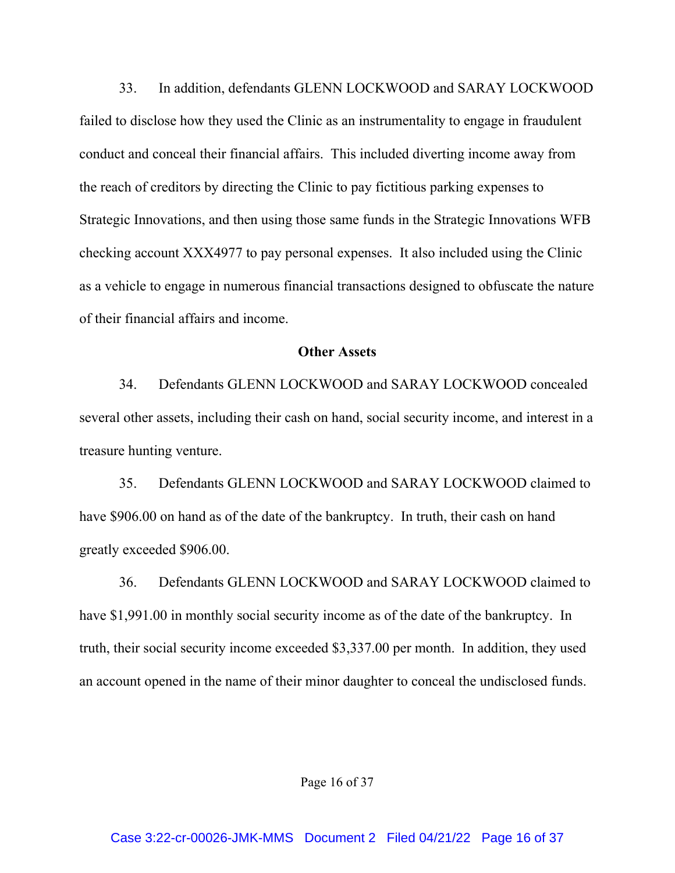33. In addition, defendants GLENN LOCKWOOD and SARAY LOCKWOOD failed to disclose how they used the Clinic as an instrumentality to engage in fraudulent conduct and conceal their financial affairs. This included diverting income away from the reach of creditors by directing the Clinic to pay fictitious parking expenses to Strategic Innovations, and then using those same funds in the Strategic Innovations WFB checking account XXX4977 to pay personal expenses. It also included using the Clinic as a vehicle to engage in numerous financial transactions designed to obfuscate the nature of their financial affairs and income.

#### **Other Assets**

34. Defendants GLENN LOCKWOOD and SARAY LOCKWOOD concealed several other assets, including their cash on hand, social security income, and interest in a treasure hunting venture.

35. Defendants GLENN LOCKWOOD and SARAY LOCKWOOD claimed to have \$906.00 on hand as of the date of the bankruptcy. In truth, their cash on hand greatly exceeded \$906.00.

36. Defendants GLENN LOCKWOOD and SARAY LOCKWOOD claimed to have \$1,991.00 in monthly social security income as of the date of the bankruptcy. In truth, their social security income exceeded \$3,337.00 per month. In addition, they used an account opened in the name of their minor daughter to conceal the undisclosed funds.

Page 16 of 37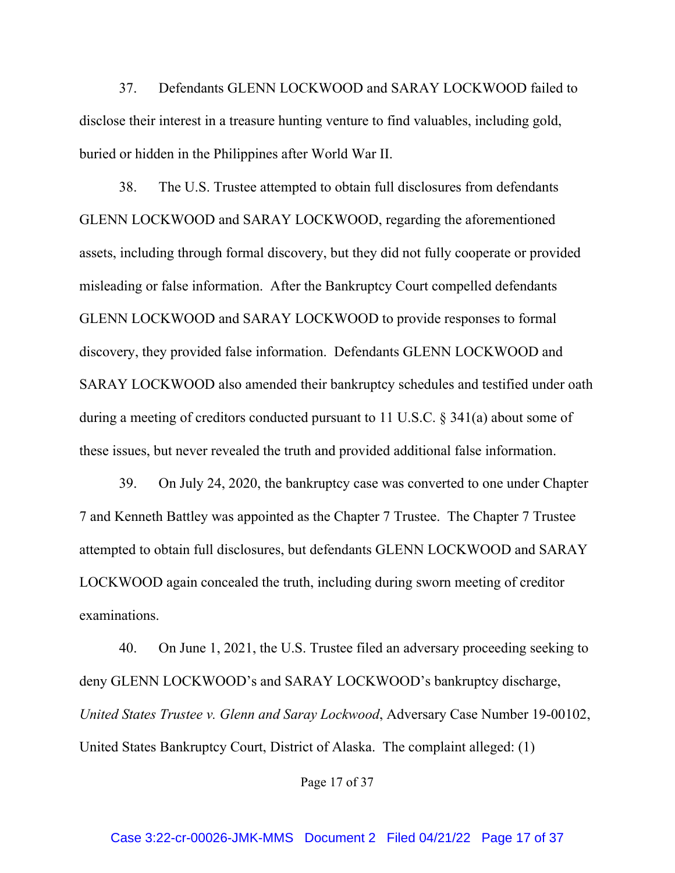37. Defendants GLENN LOCKWOOD and SARAY LOCKWOOD failed to disclose their interest in a treasure hunting venture to find valuables, including gold, buried or hidden in the Philippines after World War II.

38. The U.S. Trustee attempted to obtain full disclosures from defendants GLENN LOCKWOOD and SARAY LOCKWOOD, regarding the aforementioned assets, including through formal discovery, but they did not fully cooperate or provided misleading or false information. After the Bankruptcy Court compelled defendants GLENN LOCKWOOD and SARAY LOCKWOOD to provide responses to formal discovery, they provided false information. Defendants GLENN LOCKWOOD and SARAY LOCKWOOD also amended their bankruptcy schedules and testified under oath during a meeting of creditors conducted pursuant to 11 U.S.C. § 341(a) about some of these issues, but never revealed the truth and provided additional false information.

39. On July 24, 2020, the bankruptcy case was converted to one under Chapter 7 and Kenneth Battley was appointed as the Chapter 7 Trustee. The Chapter 7 Trustee attempted to obtain full disclosures, but defendants GLENN LOCKWOOD and SARAY LOCKWOOD again concealed the truth, including during sworn meeting of creditor examinations.

40. On June 1, 2021, the U.S. Trustee filed an adversary proceeding seeking to deny GLENN LOCKWOOD's and SARAY LOCKWOOD's bankruptcy discharge, *United States Trustee v. Glenn and Saray Lockwood*, Adversary Case Number 19-00102, United States Bankruptcy Court, District of Alaska. The complaint alleged: (1)

Page 17 of 37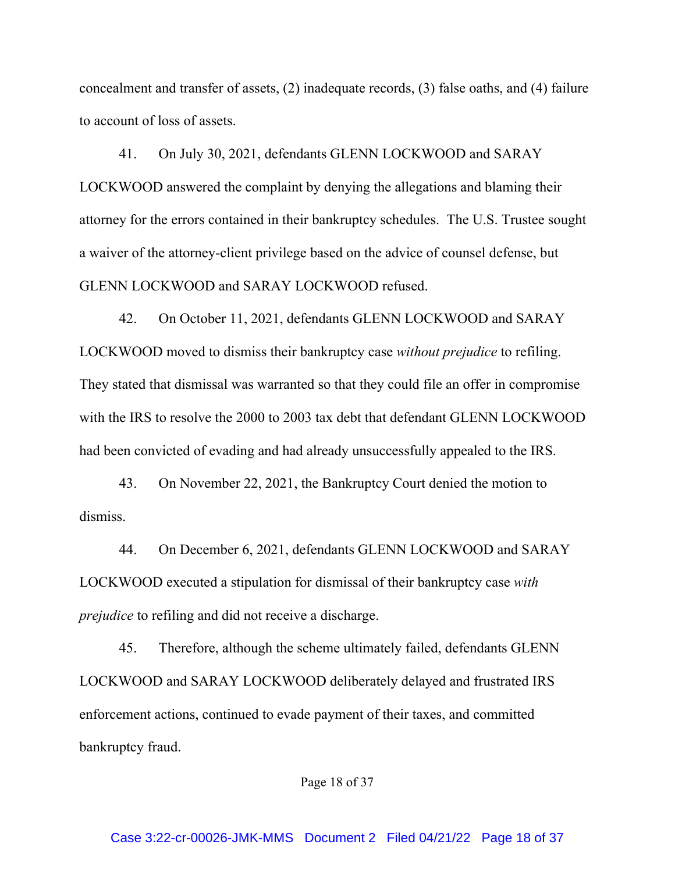concealment and transfer of assets, (2) inadequate records, (3) false oaths, and (4) failure to account of loss of assets.

41. On July 30, 2021, defendants GLENN LOCKWOOD and SARAY LOCKWOOD answered the complaint by denying the allegations and blaming their attorney for the errors contained in their bankruptcy schedules. The U.S. Trustee sought a waiver of the attorney-client privilege based on the advice of counsel defense, but GLENN LOCKWOOD and SARAY LOCKWOOD refused.

42. On October 11, 2021, defendants GLENN LOCKWOOD and SARAY LOCKWOOD moved to dismiss their bankruptcy case *without prejudice* to refiling. They stated that dismissal was warranted so that they could file an offer in compromise with the IRS to resolve the 2000 to 2003 tax debt that defendant GLENN LOCKWOOD had been convicted of evading and had already unsuccessfully appealed to the IRS.

43. On November 22, 2021, the Bankruptcy Court denied the motion to dismiss.

44. On December 6, 2021, defendants GLENN LOCKWOOD and SARAY LOCKWOOD executed a stipulation for dismissal of their bankruptcy case *with prejudice* to refiling and did not receive a discharge.

45. Therefore, although the scheme ultimately failed, defendants GLENN LOCKWOOD and SARAY LOCKWOOD deliberately delayed and frustrated IRS enforcement actions, continued to evade payment of their taxes, and committed bankruptcy fraud.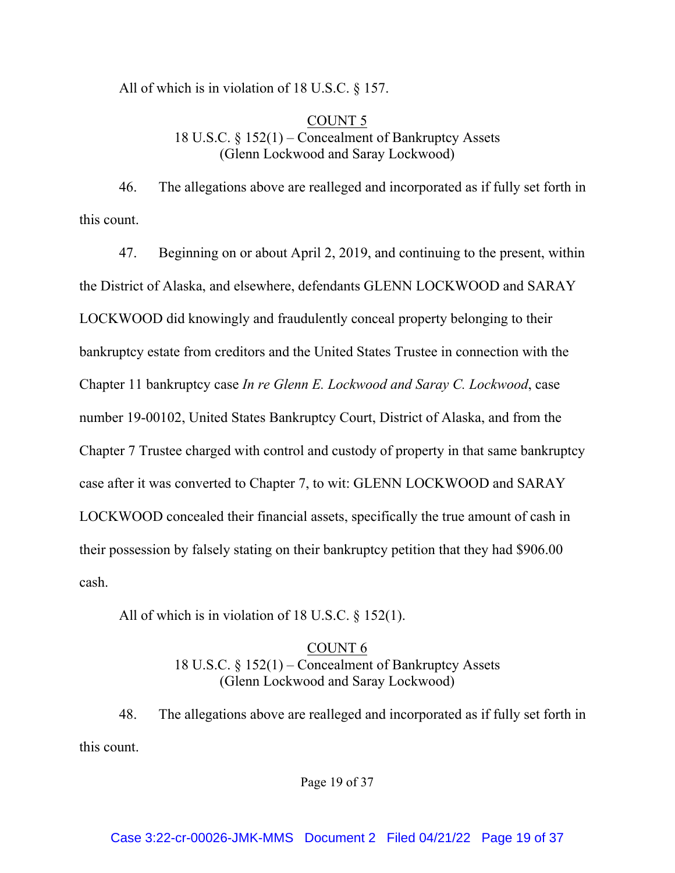All of which is in violation of 18 U.S.C. § 157.

### COUNT 5 18 U.S.C. § 152(1) – Concealment of Bankruptcy Assets (Glenn Lockwood and Saray Lockwood)

46. The allegations above are realleged and incorporated as if fully set forth in this count.

47. Beginning on or about April 2, 2019, and continuing to the present, within the District of Alaska, and elsewhere, defendants GLENN LOCKWOOD and SARAY LOCKWOOD did knowingly and fraudulently conceal property belonging to their bankruptcy estate from creditors and the United States Trustee in connection with the Chapter 11 bankruptcy case *In re Glenn E. Lockwood and Saray C. Lockwood*, case number 19-00102, United States Bankruptcy Court, District of Alaska, and from the Chapter 7 Trustee charged with control and custody of property in that same bankruptcy case after it was converted to Chapter 7, to wit: GLENN LOCKWOOD and SARAY LOCKWOOD concealed their financial assets, specifically the true amount of cash in their possession by falsely stating on their bankruptcy petition that they had \$906.00 cash.

All of which is in violation of 18 U.S.C. § 152(1).

### COUNT 6 18 U.S.C. § 152(1) – Concealment of Bankruptcy Assets (Glenn Lockwood and Saray Lockwood)

48. The allegations above are realleged and incorporated as if fully set forth in this count.

Page 19 of 37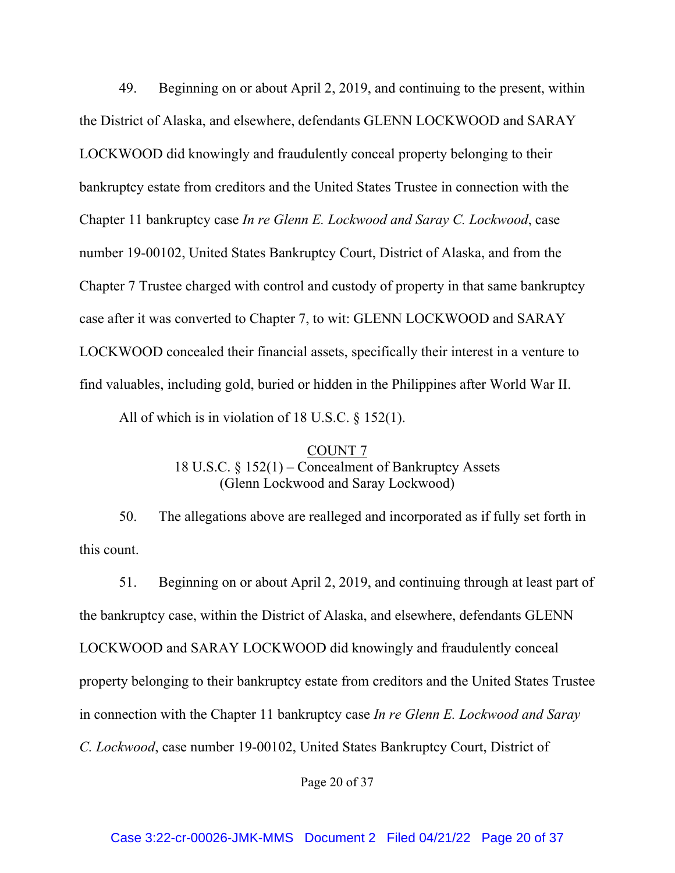49. Beginning on or about April 2, 2019, and continuing to the present, within the District of Alaska, and elsewhere, defendants GLENN LOCKWOOD and SARAY LOCKWOOD did knowingly and fraudulently conceal property belonging to their bankruptcy estate from creditors and the United States Trustee in connection with the Chapter 11 bankruptcy case *In re Glenn E. Lockwood and Saray C. Lockwood*, case number 19-00102, United States Bankruptcy Court, District of Alaska, and from the Chapter 7 Trustee charged with control and custody of property in that same bankruptcy case after it was converted to Chapter 7, to wit: GLENN LOCKWOOD and SARAY LOCKWOOD concealed their financial assets, specifically their interest in a venture to find valuables, including gold, buried or hidden in the Philippines after World War II.

All of which is in violation of 18 U.S.C. § 152(1).

## COUNT 7 18 U.S.C. § 152(1) – Concealment of Bankruptcy Assets (Glenn Lockwood and Saray Lockwood)

50. The allegations above are realleged and incorporated as if fully set forth in this count.

51. Beginning on or about April 2, 2019, and continuing through at least part of the bankruptcy case, within the District of Alaska, and elsewhere, defendants GLENN LOCKWOOD and SARAY LOCKWOOD did knowingly and fraudulently conceal property belonging to their bankruptcy estate from creditors and the United States Trustee in connection with the Chapter 11 bankruptcy case *In re Glenn E. Lockwood and Saray C. Lockwood*, case number 19-00102, United States Bankruptcy Court, District of

Page 20 of 37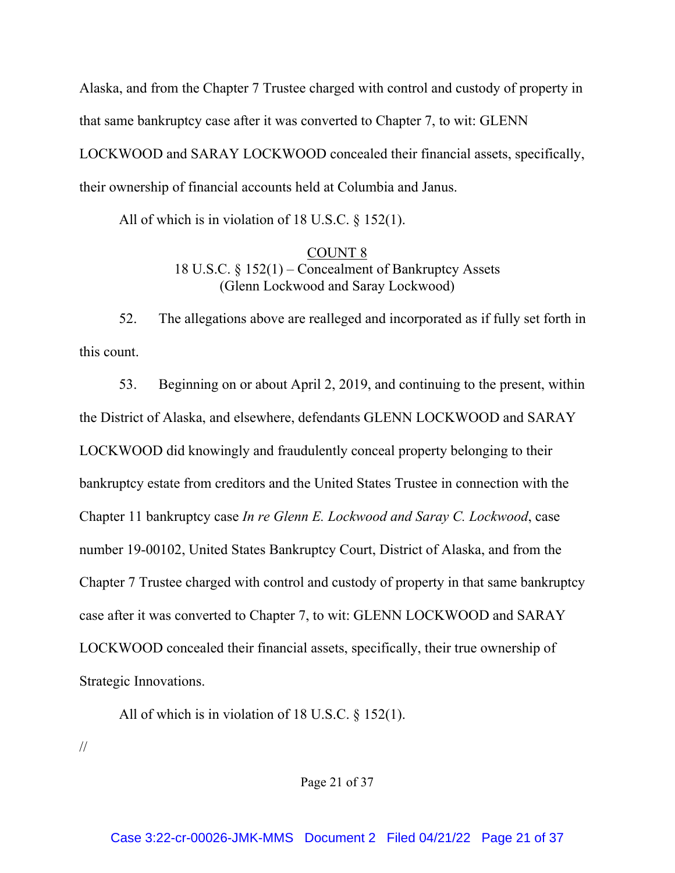Alaska, and from the Chapter 7 Trustee charged with control and custody of property in that same bankruptcy case after it was converted to Chapter 7, to wit: GLENN LOCKWOOD and SARAY LOCKWOOD concealed their financial assets, specifically, their ownership of financial accounts held at Columbia and Janus.

All of which is in violation of 18 U.S.C. § 152(1).

### COUNT 8 18 U.S.C. § 152(1) – Concealment of Bankruptcy Assets (Glenn Lockwood and Saray Lockwood)

52. The allegations above are realleged and incorporated as if fully set forth in this count.

53. Beginning on or about April 2, 2019, and continuing to the present, within the District of Alaska, and elsewhere, defendants GLENN LOCKWOOD and SARAY LOCKWOOD did knowingly and fraudulently conceal property belonging to their bankruptcy estate from creditors and the United States Trustee in connection with the Chapter 11 bankruptcy case *In re Glenn E. Lockwood and Saray C. Lockwood*, case number 19-00102, United States Bankruptcy Court, District of Alaska, and from the Chapter 7 Trustee charged with control and custody of property in that same bankruptcy case after it was converted to Chapter 7, to wit: GLENN LOCKWOOD and SARAY LOCKWOOD concealed their financial assets, specifically, their true ownership of Strategic Innovations.

All of which is in violation of 18 U.S.C. § 152(1).

//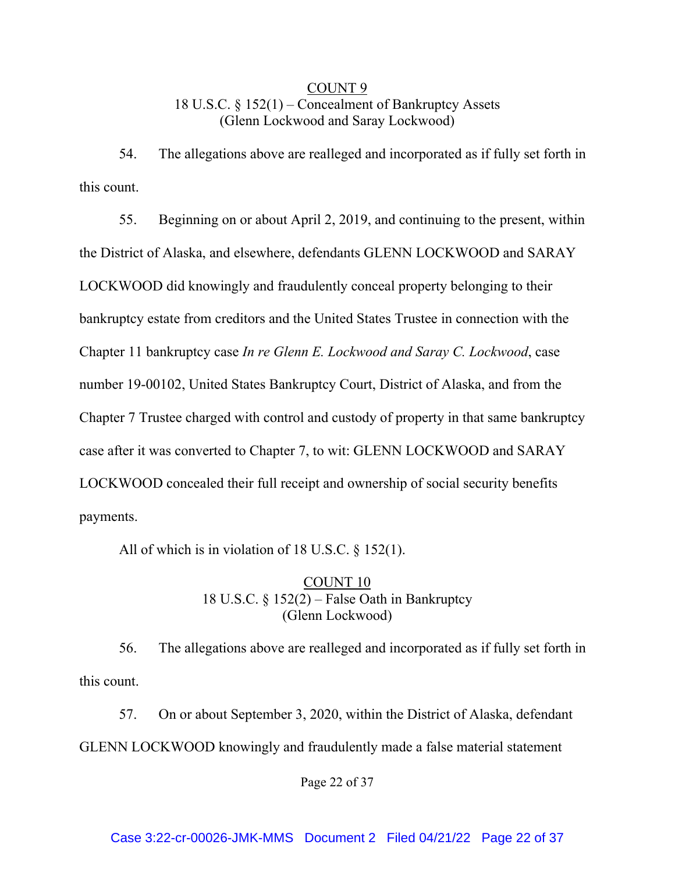# COUNT 9 18 U.S.C. § 152(1) – Concealment of Bankruptcy Assets (Glenn Lockwood and Saray Lockwood)

54. The allegations above are realleged and incorporated as if fully set forth in this count.

55. Beginning on or about April 2, 2019, and continuing to the present, within the District of Alaska, and elsewhere, defendants GLENN LOCKWOOD and SARAY LOCKWOOD did knowingly and fraudulently conceal property belonging to their bankruptcy estate from creditors and the United States Trustee in connection with the Chapter 11 bankruptcy case *In re Glenn E. Lockwood and Saray C. Lockwood*, case number 19-00102, United States Bankruptcy Court, District of Alaska, and from the Chapter 7 Trustee charged with control and custody of property in that same bankruptcy case after it was converted to Chapter 7, to wit: GLENN LOCKWOOD and SARAY LOCKWOOD concealed their full receipt and ownership of social security benefits payments.

All of which is in violation of 18 U.S.C. § 152(1).

# COUNT 10 18 U.S.C. § 152(2) – False Oath in Bankruptcy (Glenn Lockwood)

56. The allegations above are realleged and incorporated as if fully set forth in this count.

57. On or about September 3, 2020, within the District of Alaska, defendant GLENN LOCKWOOD knowingly and fraudulently made a false material statement

Page 22 of 37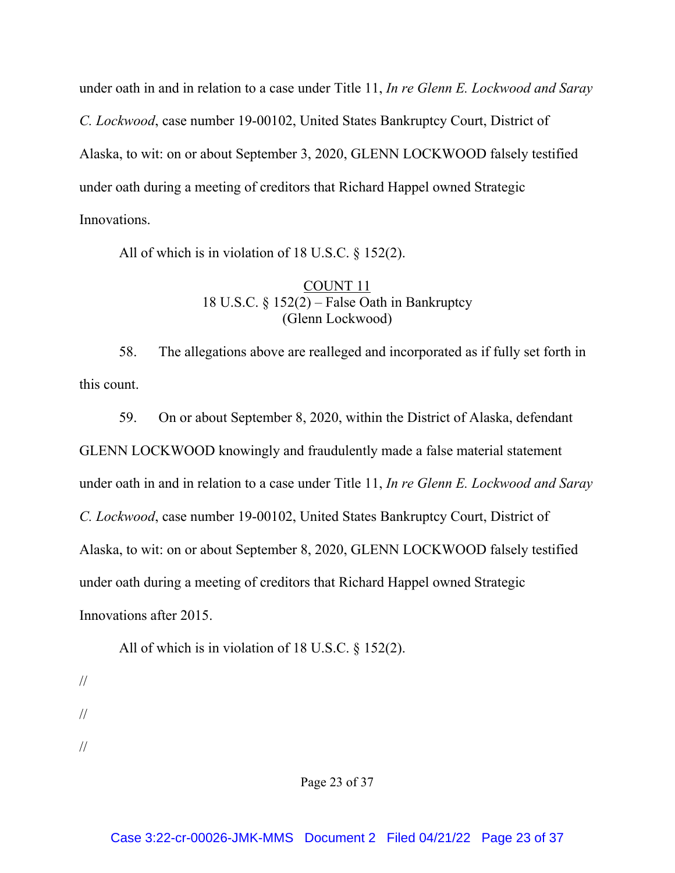under oath in and in relation to a case under Title 11, *In re Glenn E. Lockwood and Saray C. Lockwood*, case number 19-00102, United States Bankruptcy Court, District of Alaska, to wit: on or about September 3, 2020, GLENN LOCKWOOD falsely testified under oath during a meeting of creditors that Richard Happel owned Strategic Innovations.

All of which is in violation of 18 U.S.C. § 152(2).

## COUNT 11 18 U.S.C. § 152(2) – False Oath in Bankruptcy (Glenn Lockwood)

58. The allegations above are realleged and incorporated as if fully set forth in this count.

59. On or about September 8, 2020, within the District of Alaska, defendant GLENN LOCKWOOD knowingly and fraudulently made a false material statement under oath in and in relation to a case under Title 11, *In re Glenn E. Lockwood and Saray C. Lockwood*, case number 19-00102, United States Bankruptcy Court, District of Alaska, to wit: on or about September 8, 2020, GLENN LOCKWOOD falsely testified under oath during a meeting of creditors that Richard Happel owned Strategic Innovations after 2015.

All of which is in violation of 18 U.S.C. § 152(2).

- //
- //
- //

Page 23 of 37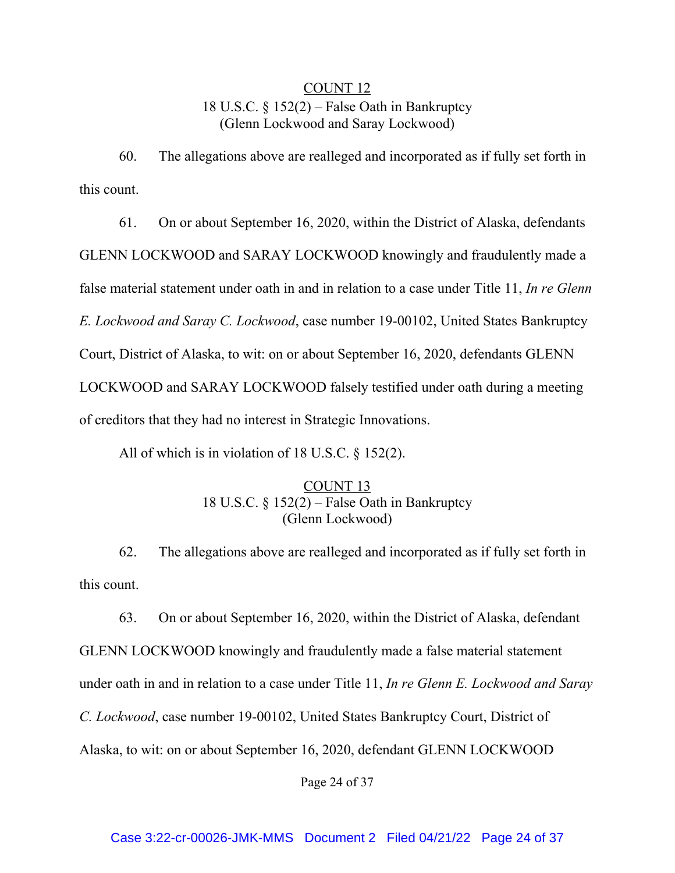# COUNT 12 18 U.S.C. § 152(2) – False Oath in Bankruptcy (Glenn Lockwood and Saray Lockwood)

60. The allegations above are realleged and incorporated as if fully set forth in this count.

61. On or about September 16, 2020, within the District of Alaska, defendants GLENN LOCKWOOD and SARAY LOCKWOOD knowingly and fraudulently made a false material statement under oath in and in relation to a case under Title 11, *In re Glenn E. Lockwood and Saray C. Lockwood*, case number 19-00102, United States Bankruptcy Court, District of Alaska, to wit: on or about September 16, 2020, defendants GLENN LOCKWOOD and SARAY LOCKWOOD falsely testified under oath during a meeting of creditors that they had no interest in Strategic Innovations.

All of which is in violation of 18 U.S.C. § 152(2).

### COUNT 13 18 U.S.C. § 152(2) – False Oath in Bankruptcy (Glenn Lockwood)

62. The allegations above are realleged and incorporated as if fully set forth in this count.

63. On or about September 16, 2020, within the District of Alaska, defendant GLENN LOCKWOOD knowingly and fraudulently made a false material statement under oath in and in relation to a case under Title 11, *In re Glenn E. Lockwood and Saray C. Lockwood*, case number 19-00102, United States Bankruptcy Court, District of Alaska, to wit: on or about September 16, 2020, defendant GLENN LOCKWOOD

Page 24 of 37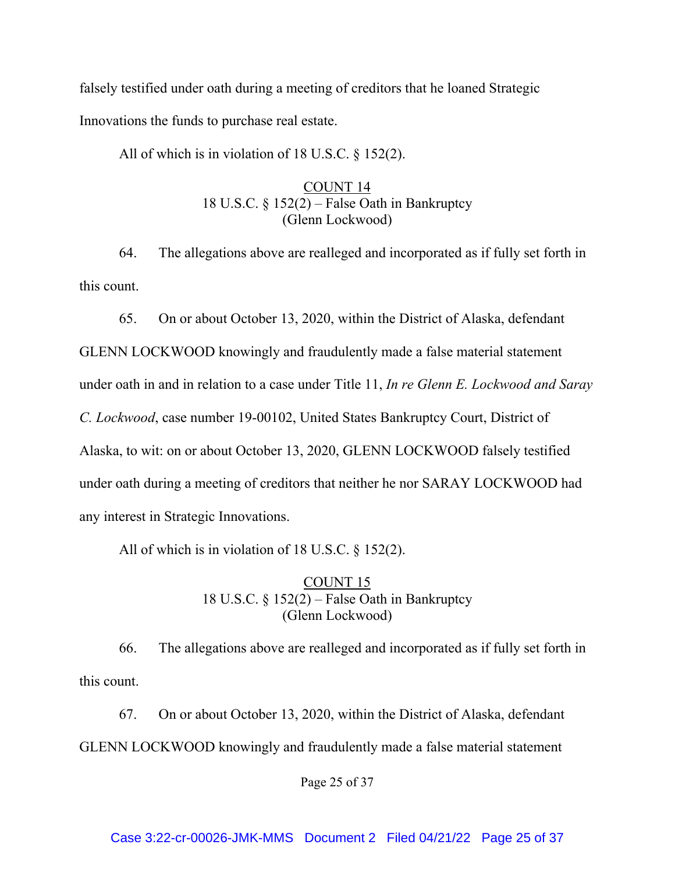falsely testified under oath during a meeting of creditors that he loaned Strategic Innovations the funds to purchase real estate.

All of which is in violation of 18 U.S.C. § 152(2).

# COUNT 14 18 U.S.C. § 152(2) – False Oath in Bankruptcy (Glenn Lockwood)

64. The allegations above are realleged and incorporated as if fully set forth in this count.

65. On or about October 13, 2020, within the District of Alaska, defendant

GLENN LOCKWOOD knowingly and fraudulently made a false material statement under oath in and in relation to a case under Title 11, *In re Glenn E. Lockwood and Saray C. Lockwood*, case number 19-00102, United States Bankruptcy Court, District of Alaska, to wit: on or about October 13, 2020, GLENN LOCKWOOD falsely testified under oath during a meeting of creditors that neither he nor SARAY LOCKWOOD had any interest in Strategic Innovations.

All of which is in violation of 18 U.S.C. § 152(2).

# COUNT 15 18 U.S.C. § 152(2) – False Oath in Bankruptcy (Glenn Lockwood)

66. The allegations above are realleged and incorporated as if fully set forth in this count.

67. On or about October 13, 2020, within the District of Alaska, defendant GLENN LOCKWOOD knowingly and fraudulently made a false material statement

Page 25 of 37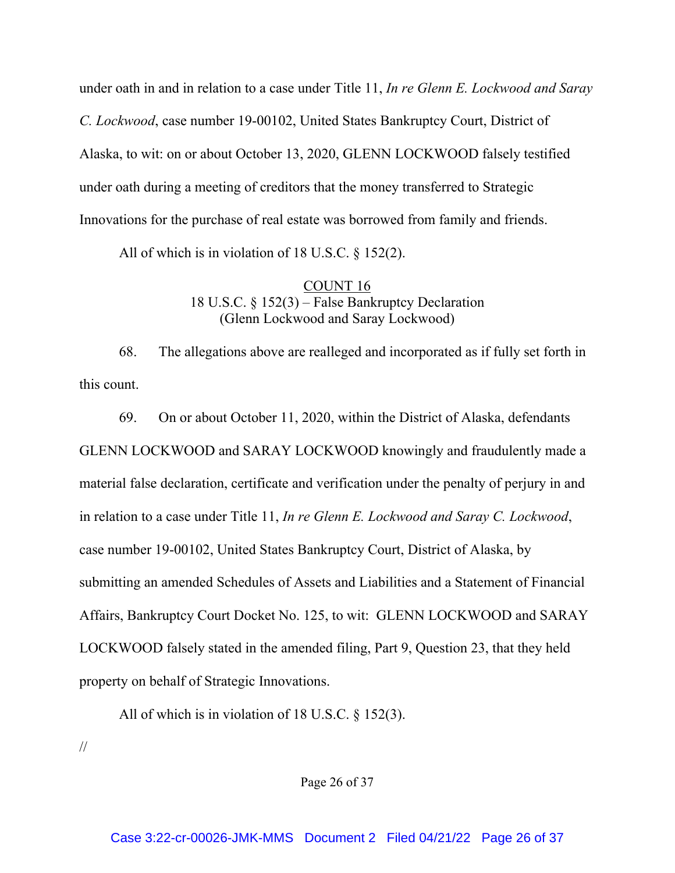under oath in and in relation to a case under Title 11, *In re Glenn E. Lockwood and Saray C. Lockwood*, case number 19-00102, United States Bankruptcy Court, District of Alaska, to wit: on or about October 13, 2020, GLENN LOCKWOOD falsely testified under oath during a meeting of creditors that the money transferred to Strategic Innovations for the purchase of real estate was borrowed from family and friends.

All of which is in violation of 18 U.S.C. § 152(2).

# COUNT 16 18 U.S.C. § 152(3) – False Bankruptcy Declaration (Glenn Lockwood and Saray Lockwood)

68. The allegations above are realleged and incorporated as if fully set forth in this count.

69. On or about October 11, 2020, within the District of Alaska, defendants GLENN LOCKWOOD and SARAY LOCKWOOD knowingly and fraudulently made a material false declaration, certificate and verification under the penalty of perjury in and in relation to a case under Title 11, *In re Glenn E. Lockwood and Saray C. Lockwood*, case number 19-00102, United States Bankruptcy Court, District of Alaska, by submitting an amended Schedules of Assets and Liabilities and a Statement of Financial Affairs, Bankruptcy Court Docket No. 125, to wit: GLENN LOCKWOOD and SARAY LOCKWOOD falsely stated in the amended filing, Part 9, Question 23, that they held property on behalf of Strategic Innovations.

All of which is in violation of 18 U.S.C. § 152(3).

//

Page 26 of 37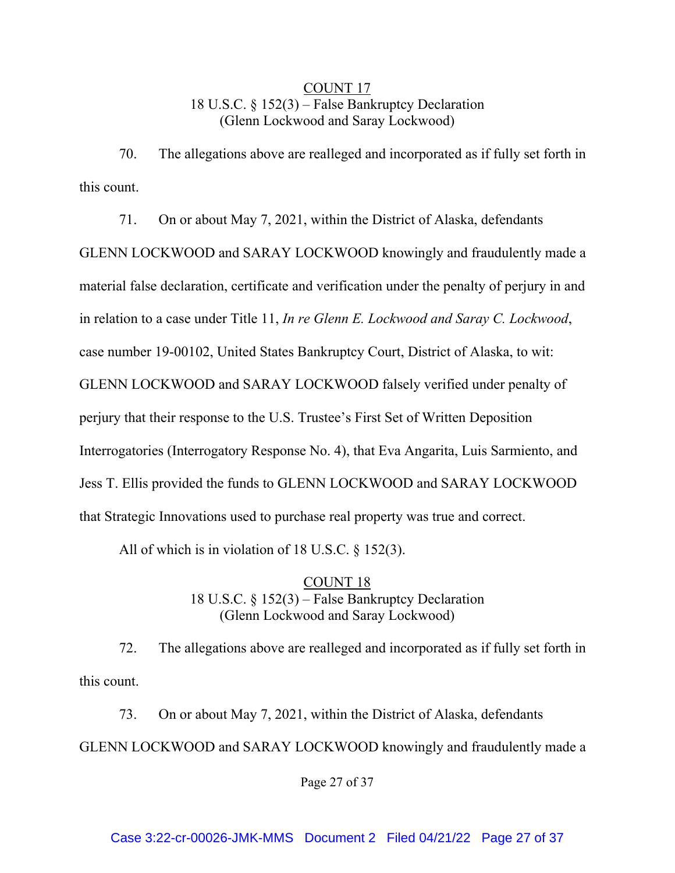# COUNT 17 18 U.S.C. § 152(3) – False Bankruptcy Declaration (Glenn Lockwood and Saray Lockwood)

70. The allegations above are realleged and incorporated as if fully set forth in this count.

71. On or about May 7, 2021, within the District of Alaska, defendants GLENN LOCKWOOD and SARAY LOCKWOOD knowingly and fraudulently made a material false declaration, certificate and verification under the penalty of perjury in and in relation to a case under Title 11, *In re Glenn E. Lockwood and Saray C. Lockwood*, case number 19-00102, United States Bankruptcy Court, District of Alaska, to wit: GLENN LOCKWOOD and SARAY LOCKWOOD falsely verified under penalty of perjury that their response to the U.S. Trustee's First Set of Written Deposition Interrogatories (Interrogatory Response No. 4), that Eva Angarita, Luis Sarmiento, and Jess T. Ellis provided the funds to GLENN LOCKWOOD and SARAY LOCKWOOD that Strategic Innovations used to purchase real property was true and correct.

All of which is in violation of 18 U.S.C. § 152(3).

COUNT 18 18 U.S.C. § 152(3) – False Bankruptcy Declaration (Glenn Lockwood and Saray Lockwood)

72. The allegations above are realleged and incorporated as if fully set forth in this count.

73. On or about May 7, 2021, within the District of Alaska, defendants GLENN LOCKWOOD and SARAY LOCKWOOD knowingly and fraudulently made a

Page 27 of 37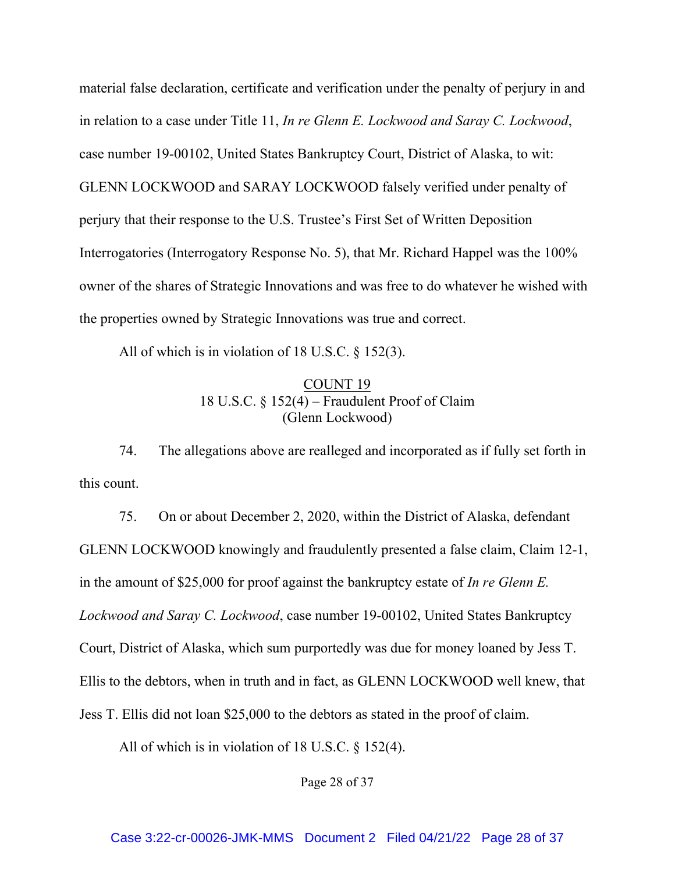material false declaration, certificate and verification under the penalty of perjury in and in relation to a case under Title 11, *In re Glenn E. Lockwood and Saray C. Lockwood*, case number 19-00102, United States Bankruptcy Court, District of Alaska, to wit: GLENN LOCKWOOD and SARAY LOCKWOOD falsely verified under penalty of perjury that their response to the U.S. Trustee's First Set of Written Deposition Interrogatories (Interrogatory Response No. 5), that Mr. Richard Happel was the 100% owner of the shares of Strategic Innovations and was free to do whatever he wished with the properties owned by Strategic Innovations was true and correct.

All of which is in violation of 18 U.S.C. § 152(3).

### COUNT 19 18 U.S.C. § 152(4) – Fraudulent Proof of Claim (Glenn Lockwood)

74. The allegations above are realleged and incorporated as if fully set forth in this count.

75. On or about December 2, 2020, within the District of Alaska, defendant GLENN LOCKWOOD knowingly and fraudulently presented a false claim, Claim 12-1, in the amount of \$25,000 for proof against the bankruptcy estate of *In re Glenn E. Lockwood and Saray C. Lockwood*, case number 19-00102, United States Bankruptcy Court, District of Alaska, which sum purportedly was due for money loaned by Jess T. Ellis to the debtors, when in truth and in fact, as GLENN LOCKWOOD well knew, that Jess T. Ellis did not loan \$25,000 to the debtors as stated in the proof of claim.

All of which is in violation of 18 U.S.C. § 152(4).

Page 28 of 37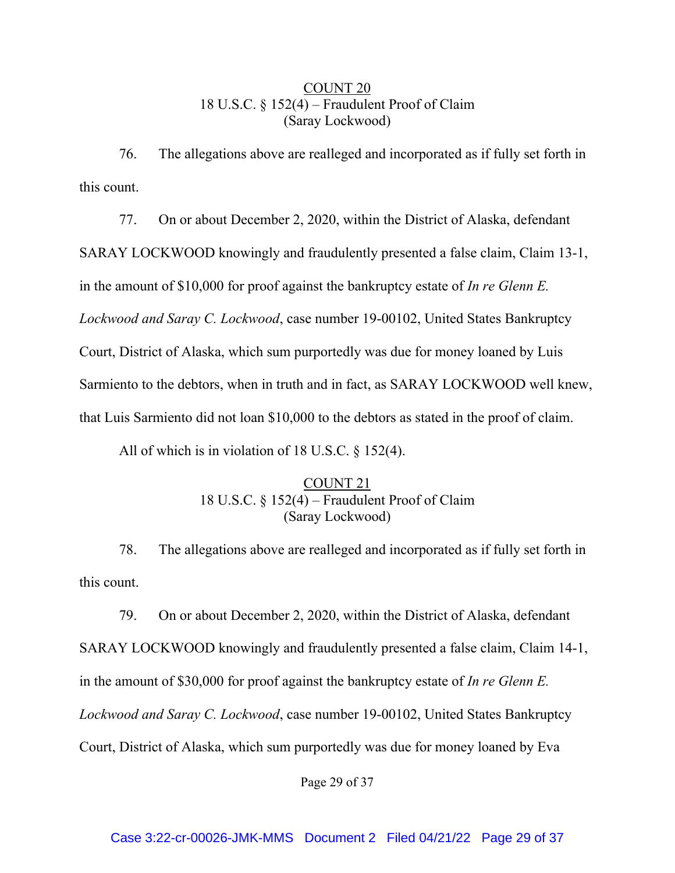# COUNT 20 18 U.S.C. § 152(4) – Fraudulent Proof of Claim (Saray Lockwood)

76. The allegations above are realleged and incorporated as if fully set forth in this count.

77. On or about December 2, 2020, within the District of Alaska, defendant SARAY LOCKWOOD knowingly and fraudulently presented a false claim, Claim 13-1, in the amount of \$10,000 for proof against the bankruptcy estate of *In re Glenn E. Lockwood and Saray C. Lockwood*, case number 19-00102, United States Bankruptcy Court, District of Alaska, which sum purportedly was due for money loaned by Luis Sarmiento to the debtors, when in truth and in fact, as SARAY LOCKWOOD well knew, that Luis Sarmiento did not loan \$10,000 to the debtors as stated in the proof of claim.

All of which is in violation of 18 U.S.C. § 152(4).

# COUNT 21 18 U.S.C. § 152(4) – Fraudulent Proof of Claim (Saray Lockwood)

78. The allegations above are realleged and incorporated as if fully set forth in this count.

79. On or about December 2, 2020, within the District of Alaska, defendant SARAY LOCKWOOD knowingly and fraudulently presented a false claim, Claim 14-1, in the amount of \$30,000 for proof against the bankruptcy estate of *In re Glenn E. Lockwood and Saray C. Lockwood*, case number 19-00102, United States Bankruptcy Court, District of Alaska, which sum purportedly was due for money loaned by Eva

Page 29 of 37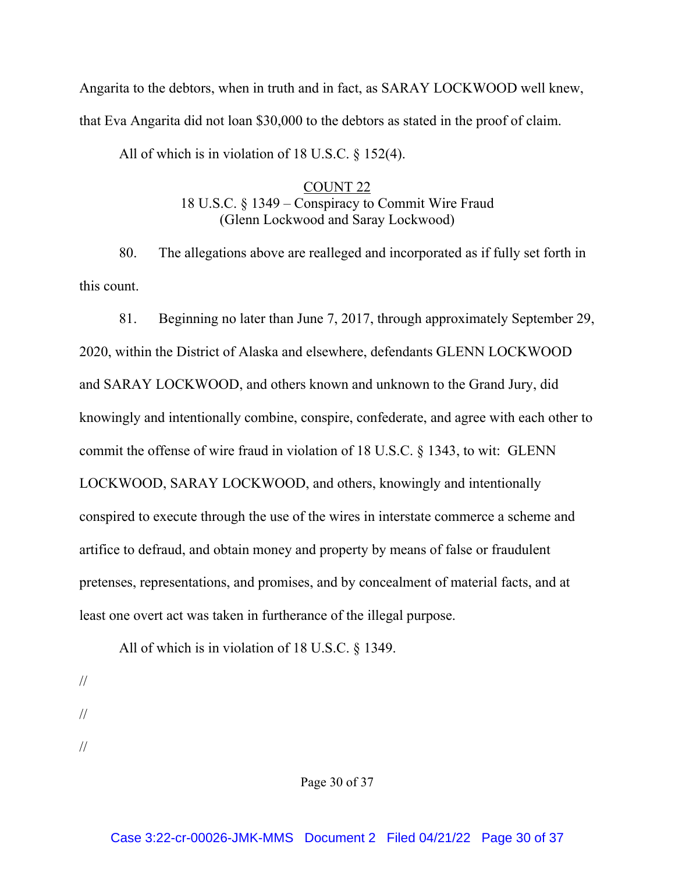Angarita to the debtors, when in truth and in fact, as SARAY LOCKWOOD well knew, that Eva Angarita did not loan \$30,000 to the debtors as stated in the proof of claim.

All of which is in violation of 18 U.S.C. § 152(4).

# COUNT 22 18 U.S.C. § 1349 – Conspiracy to Commit Wire Fraud (Glenn Lockwood and Saray Lockwood)

80. The allegations above are realleged and incorporated as if fully set forth in this count.

81. Beginning no later than June 7, 2017, through approximately September 29, 2020, within the District of Alaska and elsewhere, defendants GLENN LOCKWOOD and SARAY LOCKWOOD, and others known and unknown to the Grand Jury, did knowingly and intentionally combine, conspire, confederate, and agree with each other to commit the offense of wire fraud in violation of 18 U.S.C. § 1343, to wit: GLENN LOCKWOOD, SARAY LOCKWOOD, and others, knowingly and intentionally conspired to execute through the use of the wires in interstate commerce a scheme and artifice to defraud, and obtain money and property by means of false or fraudulent pretenses, representations, and promises, and by concealment of material facts, and at least one overt act was taken in furtherance of the illegal purpose.

All of which is in violation of 18 U.S.C. § 1349.

- // //
- //

Page 30 of 37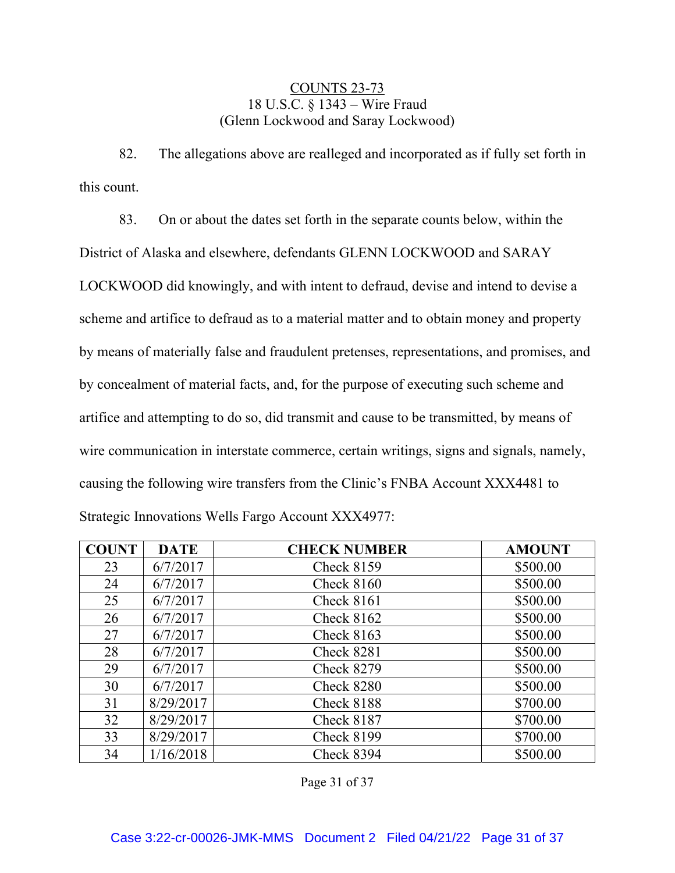## COUNTS 23-73 18 U.S.C. § 1343 – Wire Fraud (Glenn Lockwood and Saray Lockwood)

82. The allegations above are realleged and incorporated as if fully set forth in this count.

83. On or about the dates set forth in the separate counts below, within the District of Alaska and elsewhere, defendants GLENN LOCKWOOD and SARAY LOCKWOOD did knowingly, and with intent to defraud, devise and intend to devise a scheme and artifice to defraud as to a material matter and to obtain money and property by means of materially false and fraudulent pretenses, representations, and promises, and by concealment of material facts, and, for the purpose of executing such scheme and artifice and attempting to do so, did transmit and cause to be transmitted, by means of wire communication in interstate commerce, certain writings, signs and signals, namely, causing the following wire transfers from the Clinic's FNBA Account XXX4481 to Strategic Innovations Wells Fargo Account XXX4977:

| <b>COUNT</b> | <b>DATE</b> | <b>CHECK NUMBER</b> | <b>AMOUNT</b> |
|--------------|-------------|---------------------|---------------|
| 23           | 6/7/2017    | <b>Check 8159</b>   | \$500.00      |
| 24           | 6/7/2017    | Check 8160          | \$500.00      |
| 25           | 6/7/2017    | Check 8161          | \$500.00      |
| 26           | 6/7/2017    | <b>Check 8162</b>   | \$500.00      |
| 27           | 6/7/2017    | Check $8163$        | \$500.00      |
| 28           | 6/7/2017    | Check 8281          | \$500.00      |
| 29           | 6/7/2017    | <b>Check 8279</b>   | \$500.00      |
| 30           | 6/7/2017    | Check 8280          | \$500.00      |
| 31           | 8/29/2017   | Check 8188          | \$700.00      |
| 32           | 8/29/2017   | <b>Check 8187</b>   | \$700.00      |
| 33           | 8/29/2017   | <b>Check 8199</b>   | \$700.00      |
| 34           | 1/16/2018   | Check 8394          | \$500.00      |

Page 31 of 37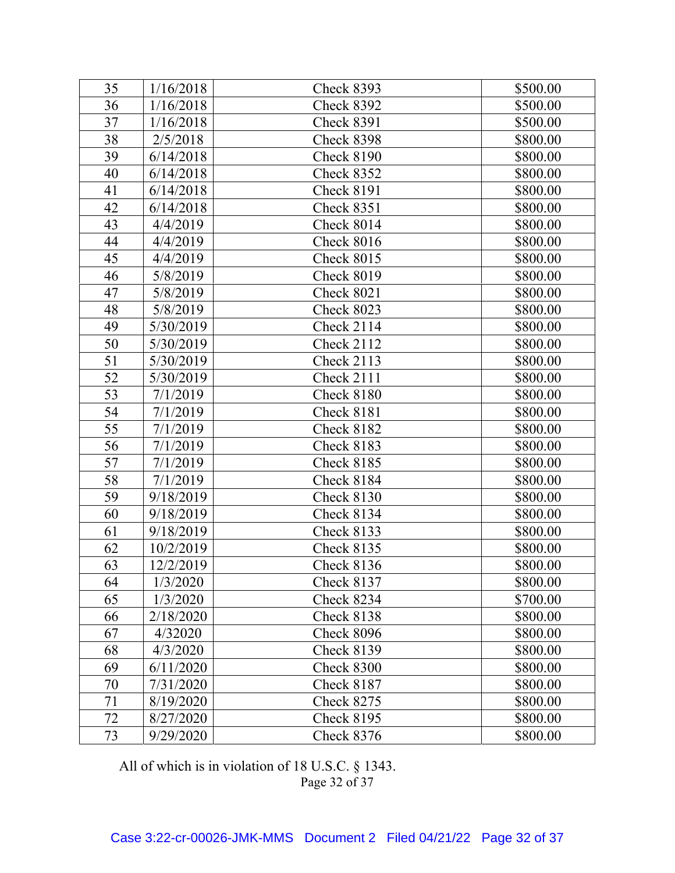| 35 | 1/16/2018 | Check 8393        | \$500.00 |
|----|-----------|-------------------|----------|
| 36 | 1/16/2018 | Check 8392        | \$500.00 |
| 37 | 1/16/2018 | Check 8391        | \$500.00 |
| 38 | 2/5/2018  | Check 8398        | \$800.00 |
| 39 | 6/14/2018 | <b>Check 8190</b> | \$800.00 |
| 40 | 6/14/2018 | Check 8352        | \$800.00 |
| 41 | 6/14/2018 | <b>Check 8191</b> | \$800.00 |
| 42 | 6/14/2018 | <b>Check 8351</b> | \$800.00 |
| 43 | 4/4/2019  | Check 8014        | \$800.00 |
| 44 | 4/4/2019  | Check 8016        | \$800.00 |
| 45 | 4/4/2019  | Check 8015        | \$800.00 |
| 46 | 5/8/2019  | Check 8019        | \$800.00 |
| 47 | 5/8/2019  | Check 8021        | \$800.00 |
| 48 | 5/8/2019  | Check 8023        | \$800.00 |
| 49 | 5/30/2019 | Check 2114        | \$800.00 |
| 50 | 5/30/2019 | Check 2112        | \$800.00 |
| 51 | 5/30/2019 | <b>Check 2113</b> | \$800.00 |
| 52 | 5/30/2019 | Check 2111        | \$800.00 |
| 53 | 7/1/2019  | Check 8180        | \$800.00 |
| 54 | 7/1/2019  | Check 8181        | \$800.00 |
| 55 | 7/1/2019  | <b>Check 8182</b> | \$800.00 |
| 56 | 7/1/2019  | <b>Check 8183</b> | \$800.00 |
| 57 | 7/1/2019  | <b>Check 8185</b> | \$800.00 |
| 58 | 7/1/2019  | Check 8184        | \$800.00 |
| 59 | 9/18/2019 | <b>Check 8130</b> | \$800.00 |
| 60 | 9/18/2019 | Check 8134        | \$800.00 |
| 61 | 9/18/2019 | <b>Check 8133</b> | \$800.00 |
| 62 | 10/2/2019 | <b>Check 8135</b> | \$800.00 |
| 63 | 12/2/2019 | <b>Check 8136</b> | \$800.00 |
| 64 | 1/3/2020  | Check 8137        | \$800.00 |
| 65 | 1/3/2020  | Check 8234        | \$700.00 |
| 66 | 2/18/2020 | Check 8138        | \$800.00 |
| 67 | 4/32020   | Check 8096        | \$800.00 |
| 68 | 4/3/2020  | <b>Check 8139</b> | \$800.00 |
| 69 | 6/11/2020 | Check 8300        | \$800.00 |
| 70 | 7/31/2020 | <b>Check 8187</b> | \$800.00 |
| 71 | 8/19/2020 | <b>Check 8275</b> | \$800.00 |
| 72 | 8/27/2020 | <b>Check 8195</b> | \$800.00 |
| 73 | 9/29/2020 | Check 8376        | \$800.00 |

Page 32 of 37 All of which is in violation of 18 U.S.C. § 1343.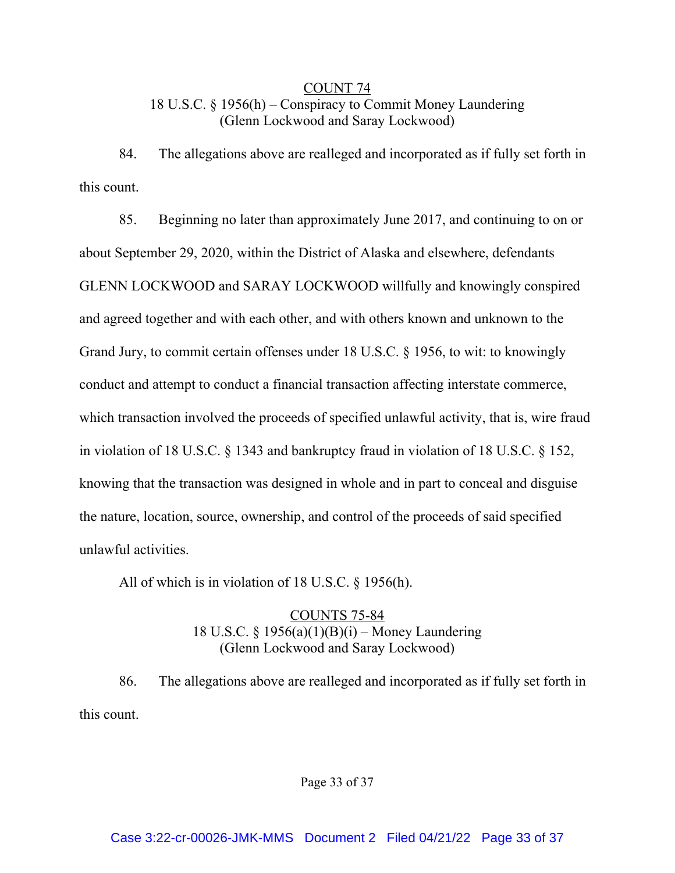# COUNT 74 18 U.S.C. § 1956(h) – Conspiracy to Commit Money Laundering (Glenn Lockwood and Saray Lockwood)

84. The allegations above are realleged and incorporated as if fully set forth in this count.

85. Beginning no later than approximately June 2017, and continuing to on or about September 29, 2020, within the District of Alaska and elsewhere, defendants GLENN LOCKWOOD and SARAY LOCKWOOD willfully and knowingly conspired and agreed together and with each other, and with others known and unknown to the Grand Jury, to commit certain offenses under 18 U.S.C. § 1956, to wit: to knowingly conduct and attempt to conduct a financial transaction affecting interstate commerce, which transaction involved the proceeds of specified unlawful activity, that is, wire fraud in violation of 18 U.S.C. § 1343 and bankruptcy fraud in violation of 18 U.S.C. § 152, knowing that the transaction was designed in whole and in part to conceal and disguise the nature, location, source, ownership, and control of the proceeds of said specified unlawful activities.

All of which is in violation of 18 U.S.C. § 1956(h).

# COUNTS 75-84 18 U.S.C. § 1956(a)(1)(B)(i) – Money Laundering (Glenn Lockwood and Saray Lockwood)

86. The allegations above are realleged and incorporated as if fully set forth in this count.

Page 33 of 37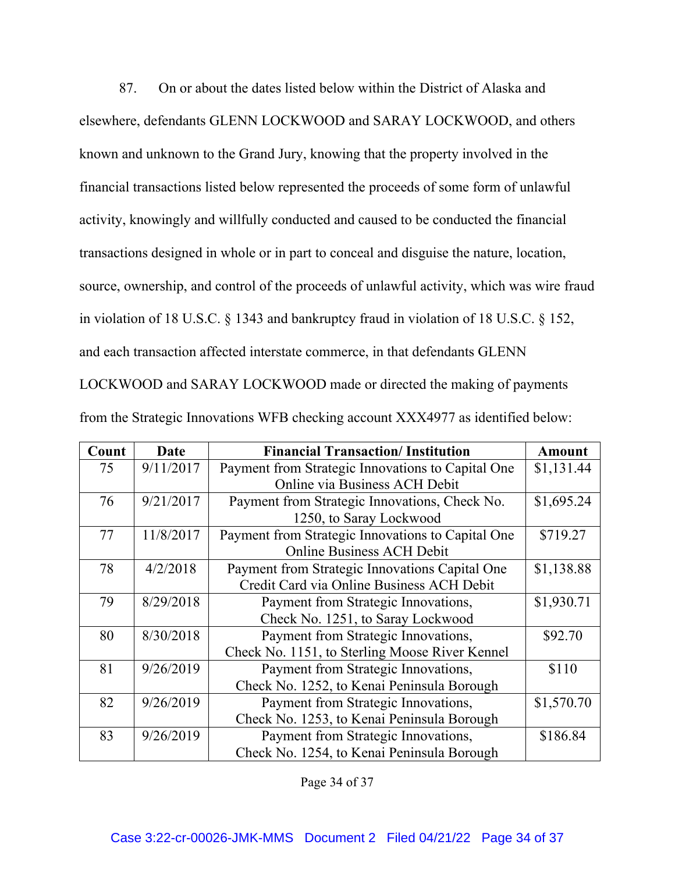87. On or about the dates listed below within the District of Alaska and elsewhere, defendants GLENN LOCKWOOD and SARAY LOCKWOOD, and others known and unknown to the Grand Jury, knowing that the property involved in the financial transactions listed below represented the proceeds of some form of unlawful activity, knowingly and willfully conducted and caused to be conducted the financial transactions designed in whole or in part to conceal and disguise the nature, location, source, ownership, and control of the proceeds of unlawful activity, which was wire fraud in violation of 18 U.S.C. § 1343 and bankruptcy fraud in violation of 18 U.S.C. § 152, and each transaction affected interstate commerce, in that defendants GLENN

LOCKWOOD and SARAY LOCKWOOD made or directed the making of payments

| Count | Date      | <b>Financial Transaction/Institution</b>          | <b>Amount</b> |
|-------|-----------|---------------------------------------------------|---------------|
| 75    | 9/11/2017 | Payment from Strategic Innovations to Capital One | \$1,131.44    |
|       |           | Online via Business ACH Debit                     |               |
| 76    | 9/21/2017 | Payment from Strategic Innovations, Check No.     | \$1,695.24    |
|       |           | 1250, to Saray Lockwood                           |               |
| 77    | 11/8/2017 | Payment from Strategic Innovations to Capital One | \$719.27      |
|       |           | <b>Online Business ACH Debit</b>                  |               |
| 78    | 4/2/2018  | Payment from Strategic Innovations Capital One    | \$1,138.88    |
|       |           | Credit Card via Online Business ACH Debit         |               |
| 79    | 8/29/2018 | Payment from Strategic Innovations,               | \$1,930.71    |
|       |           | Check No. 1251, to Saray Lockwood                 |               |
| 80    | 8/30/2018 | Payment from Strategic Innovations,               | \$92.70       |
|       |           | Check No. 1151, to Sterling Moose River Kennel    |               |
| 81    | 9/26/2019 | Payment from Strategic Innovations,               | \$110         |
|       |           | Check No. 1252, to Kenai Peninsula Borough        |               |
| 82    | 9/26/2019 | Payment from Strategic Innovations,               | \$1,570.70    |
|       |           | Check No. 1253, to Kenai Peninsula Borough        |               |
| 83    | 9/26/2019 | Payment from Strategic Innovations,               | \$186.84      |
|       |           | Check No. 1254, to Kenai Peninsula Borough        |               |

from the Strategic Innovations WFB checking account XXX4977 as identified below:

Page 34 of 37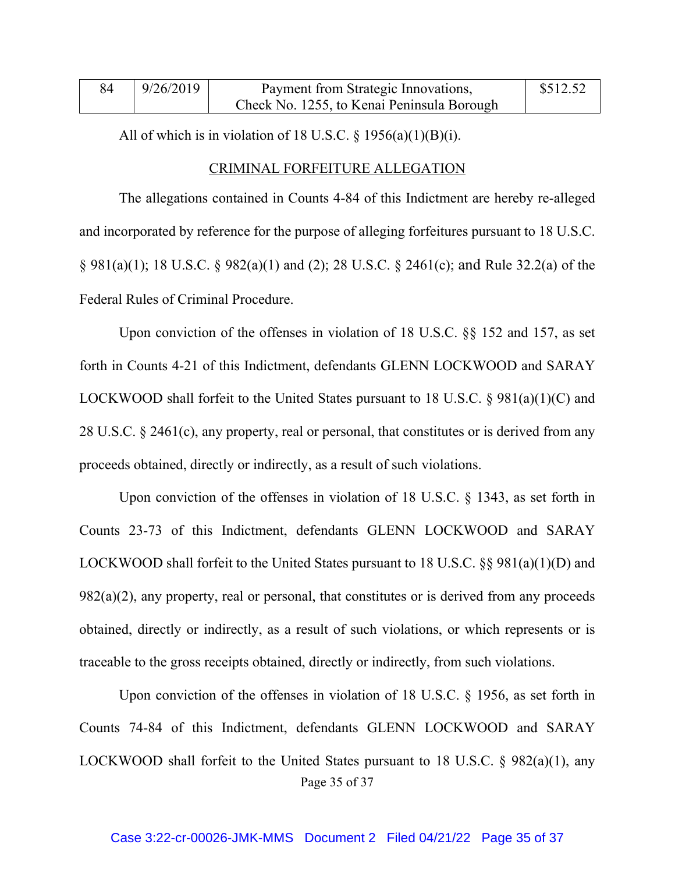| 84 | 9/26/2019 | Payment from Strategic Innovations,        | \$512.52 |
|----|-----------|--------------------------------------------|----------|
|    |           | Check No. 1255, to Kenai Peninsula Borough |          |

All of which is in violation of 18 U.S.C.  $\S$  1956(a)(1)(B)(i).

### CRIMINAL FORFEITURE ALLEGATION

The allegations contained in Counts 4-84 of this Indictment are hereby re-alleged and incorporated by reference for the purpose of alleging forfeitures pursuant to 18 U.S.C. § 981(a)(1); 18 U.S.C. § 982(a)(1) and (2); 28 U.S.C. § 2461(c); and Rule 32.2(a) of the Federal Rules of Criminal Procedure.

Upon conviction of the offenses in violation of 18 U.S.C. §§ 152 and 157, as set forth in Counts 4-21 of this Indictment, defendants GLENN LOCKWOOD and SARAY LOCKWOOD shall forfeit to the United States pursuant to 18 U.S.C. § 981(a)(1)(C) and 28 U.S.C. § 2461(c), any property, real or personal, that constitutes or is derived from any proceeds obtained, directly or indirectly, as a result of such violations.

Upon conviction of the offenses in violation of 18 U.S.C. § 1343, as set forth in Counts 23-73 of this Indictment, defendants GLENN LOCKWOOD and SARAY LOCKWOOD shall forfeit to the United States pursuant to 18 U.S.C. §§ 981(a)(1)(D) and  $982(a)(2)$ , any property, real or personal, that constitutes or is derived from any proceeds obtained, directly or indirectly, as a result of such violations, or which represents or is traceable to the gross receipts obtained, directly or indirectly, from such violations.

Page 35 of 37 Upon conviction of the offenses in violation of 18 U.S.C. § 1956, as set forth in Counts 74-84 of this Indictment, defendants GLENN LOCKWOOD and SARAY LOCKWOOD shall forfeit to the United States pursuant to 18 U.S.C. § 982(a)(1), any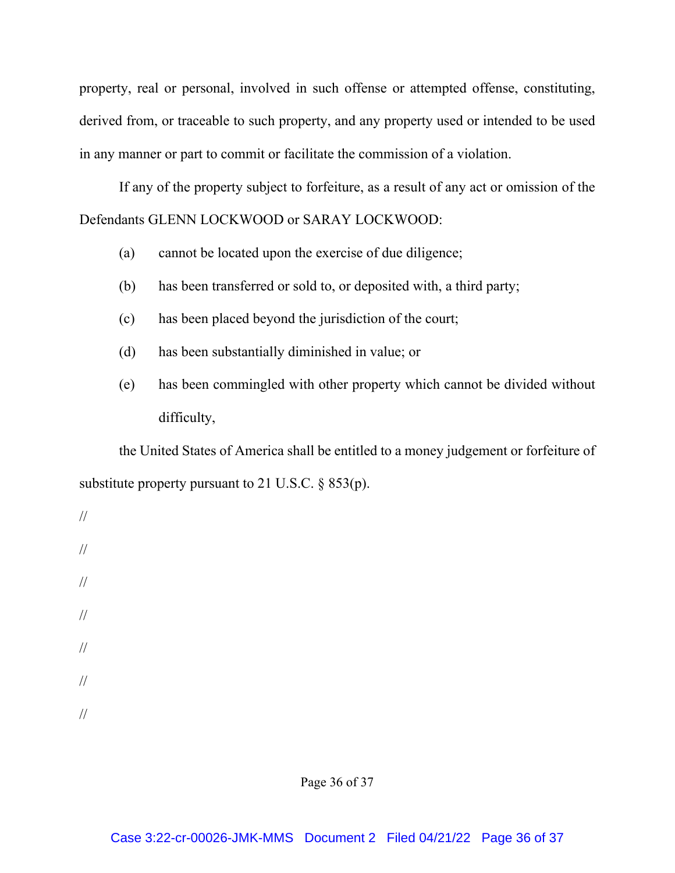property, real or personal, involved in such offense or attempted offense, constituting, derived from, or traceable to such property, and any property used or intended to be used in any manner or part to commit or facilitate the commission of a violation.

If any of the property subject to forfeiture, as a result of any act or omission of the Defendants GLENN LOCKWOOD or SARAY LOCKWOOD:

- (a) cannot be located upon the exercise of due diligence;
- (b) has been transferred or sold to, or deposited with, a third party;
- (c) has been placed beyond the jurisdiction of the court;
- (d) has been substantially diminished in value; or
- (e) has been commingled with other property which cannot be divided without difficulty,

the United States of America shall be entitled to a money judgement or forfeiture of substitute property pursuant to 21 U.S.C.  $\S$  853(p).

// // // // // //

//